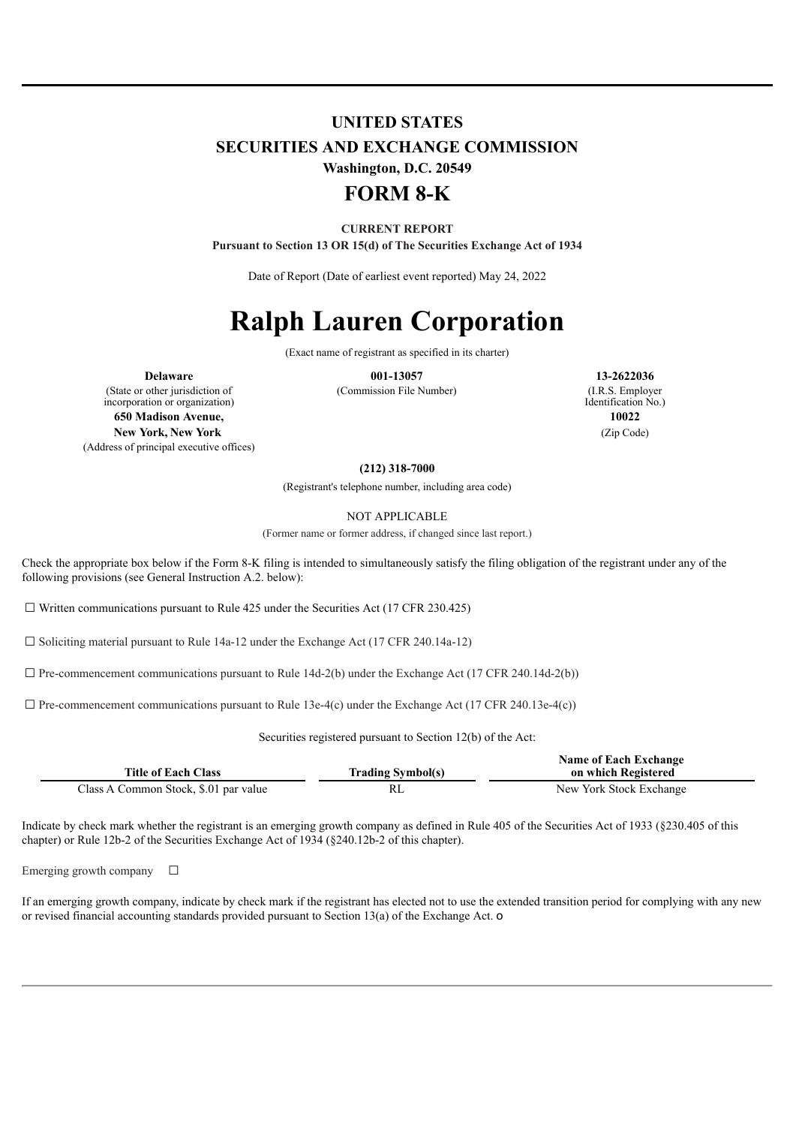# **UNITED STATES SECURITIES AND EXCHANGE COMMISSION Washington, D.C. 20549 FORM 8-K**

# **CURRENT REPORT**

**Pursuant to Section 13 OR 15(d) of The Securities Exchange Act of 1934**

Date of Report (Date of earliest event reported) May 24, 2022

# **Ralph Lauren Corporation**

(Exact name of registrant as specified in its charter)

(Commission File Number) (I.R.S. Employer

(State or other jurisdiction of incorporation or organization) **650 Madison Avenue, 10022 New York, New York** (Zip Code) (Address of principal executive offices)

**Delaware 001-13057 13-2622036** Identification No.)

#### **(212) 318-7000**

(Registrant's telephone number, including area code)

NOT APPLICABLE

(Former name or former address, if changed since last report.)

Check the appropriate box below if the Form 8-K filing is intended to simultaneously satisfy the filing obligation of the registrant under any of the following provisions (see General Instruction A.2. below):

 $\Box$  Written communications pursuant to Rule 425 under the Securities Act (17 CFR 230.425)

 $\Box$  Soliciting material pursuant to Rule 14a-12 under the Exchange Act (17 CFR 240.14a-12)

 $\Box$  Pre-commencement communications pursuant to Rule 14d-2(b) under the Exchange Act (17 CFR 240.14d-2(b))

 $\Box$  Pre-commencement communications pursuant to Rule 13e-4(c) under the Exchange Act (17 CFR 240.13e-4(c))

Securities registered pursuant to Section 12(b) of the Act:

| <b>Title of Each Class</b>            | <b>Trading Symbol(s)</b> | <b>Name of Each Exchange</b><br>on which Registered |
|---------------------------------------|--------------------------|-----------------------------------------------------|
| Class A Common Stock, \$.01 par value | RL                       | New York Stock Exchange                             |

Indicate by check mark whether the registrant is an emerging growth company as defined in Rule 405 of the Securities Act of 1933 (§230.405 of this chapter) or Rule 12b-2 of the Securities Exchange Act of 1934 (§240.12b-2 of this chapter).

Emerging growth company  $\Box$ 

If an emerging growth company, indicate by check mark if the registrant has elected not to use the extended transition period for complying with any new or revised financial accounting standards provided pursuant to Section 13(a) of the Exchange Act. o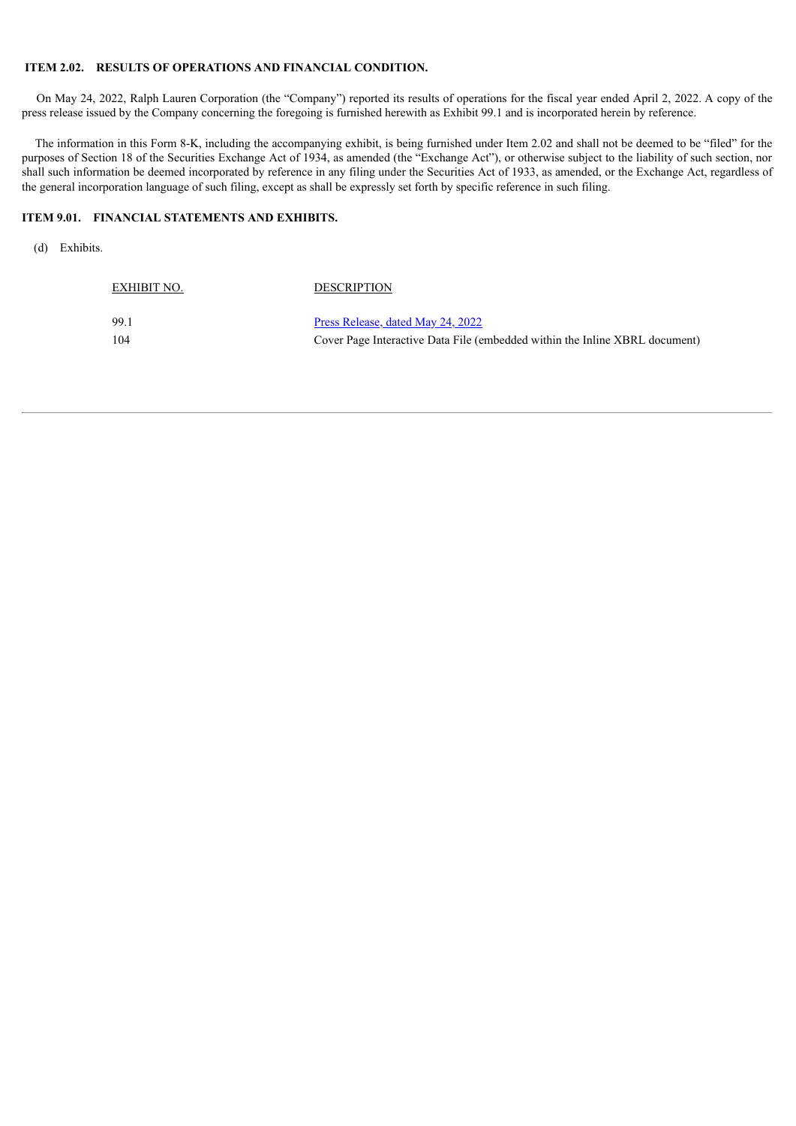#### **ITEM 2.02. RESULTS OF OPERATIONS AND FINANCIAL CONDITION.**

EXHIBIT NO. DESCRIPTION

On May 24, 2022, Ralph Lauren Corporation (the "Company") reported its results of operations for the fiscal year ended April 2, 2022. A copy of the press release issued by the Company concerning the foregoing is furnished herewith as Exhibit 99.1 and is incorporated herein by reference.

The information in this Form 8-K, including the accompanying exhibit, is being furnished under Item 2.02 and shall not be deemed to be "filed" for the purposes of Section 18 of the Securities Exchange Act of 1934, as amended (the "Exchange Act"), or otherwise subject to the liability of such section, nor shall such information be deemed incorporated by reference in any filing under the Securities Act of 1933, as amended, or the Exchange Act, regardless of the general incorporation language of such filing, except as shall be expressly set forth by specific reference in such filing.

#### **ITEM 9.01. FINANCIAL STATEMENTS AND EXHIBITS.**

(d) Exhibits.

| - 99.1 | <u>Press Release, dated May 24, 2022</u>                                    |
|--------|-----------------------------------------------------------------------------|
| -104   | Cover Page Interactive Data File (embedded within the Inline XBRL document) |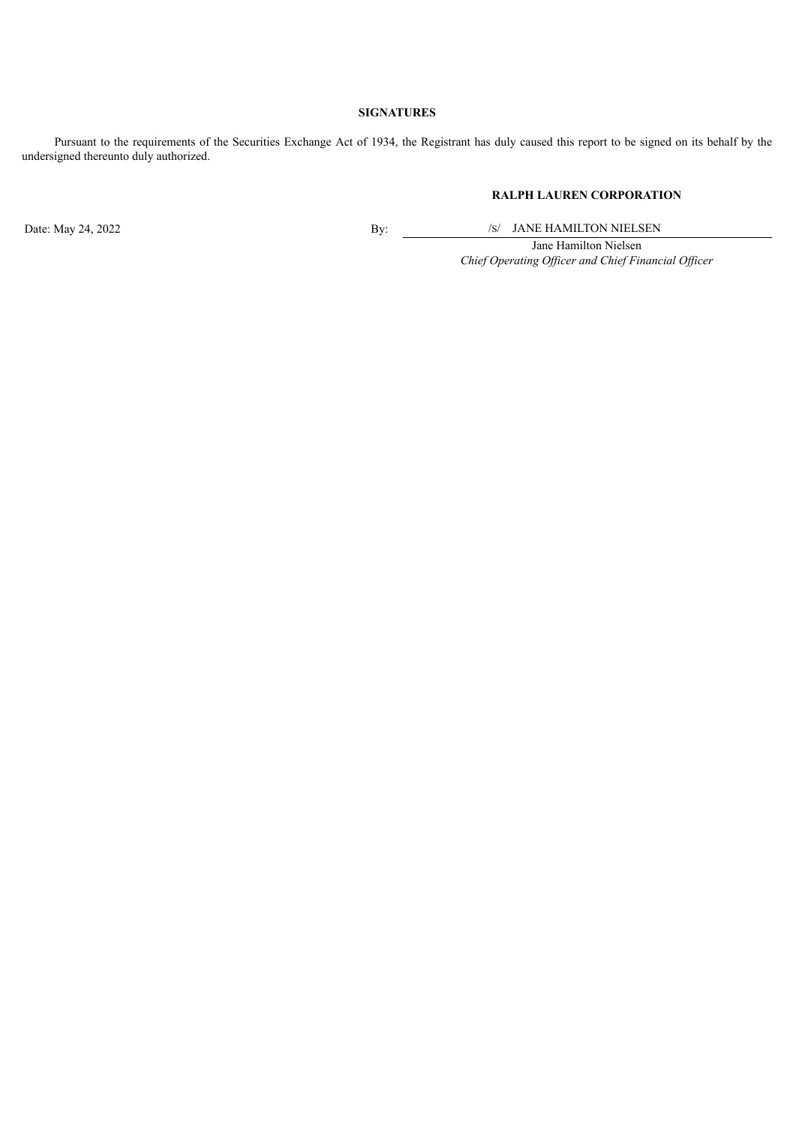#### **SIGNATURES**

Pursuant to the requirements of the Securities Exchange Act of 1934, the Registrant has duly caused this report to be signed on its behalf by the undersigned thereunto duly authorized.

## **RALPH LAUREN CORPORATION**

Date: May 24, 2022 By: /S/ JANE HAMILTON NIELSEN

Jane Hamilton Nielsen *Chief Operating Of icer and Chief Financial Of icer*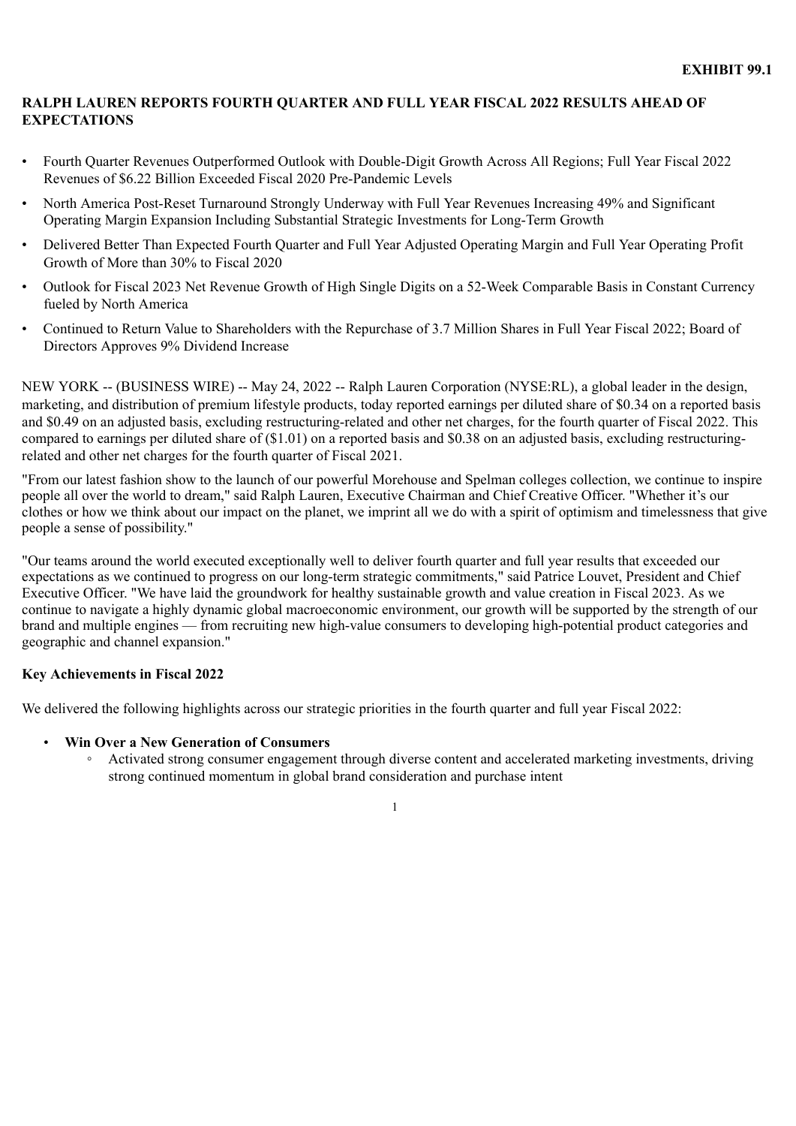# <span id="page-3-0"></span>**RALPH LAUREN REPORTS FOURTH QUARTER AND FULL YEAR FISCAL 2022 RESULTS AHEAD OF EXPECTATIONS**

- Fourth Quarter Revenues Outperformed Outlook with Double-Digit Growth Across All Regions; Full Year Fiscal 2022 Revenues of \$6.22 Billion Exceeded Fiscal 2020 Pre-Pandemic Levels
- North America Post-Reset Turnaround Strongly Underway with Full Year Revenues Increasing 49% and Significant Operating Margin Expansion Including Substantial Strategic Investments for Long-Term Growth
- Delivered Better Than Expected Fourth Quarter and Full Year Adjusted Operating Margin and Full Year Operating Profit Growth of More than 30% to Fiscal 2020
- Outlook for Fiscal 2023 Net Revenue Growth of High Single Digits on a 52-Week Comparable Basis in Constant Currency fueled by North America
- Continued to Return Value to Shareholders with the Repurchase of 3.7 Million Shares in Full Year Fiscal 2022; Board of Directors Approves 9% Dividend Increase

NEW YORK -- (BUSINESS WIRE) -- May 24, 2022 -- Ralph Lauren Corporation (NYSE:RL), a global leader in the design, marketing, and distribution of premium lifestyle products, today reported earnings per diluted share of \$0.34 on a reported basis and \$0.49 on an adjusted basis, excluding restructuring-related and other net charges, for the fourth quarter of Fiscal 2022. This compared to earnings per diluted share of (\$1.01) on a reported basis and \$0.38 on an adjusted basis, excluding restructuringrelated and other net charges for the fourth quarter of Fiscal 2021.

"From our latest fashion show to the launch of our powerful Morehouse and Spelman colleges collection, we continue to inspire people all over the world to dream," said Ralph Lauren, Executive Chairman and Chief Creative Officer. "Whether it's our clothes or how we think about our impact on the planet, we imprint all we do with a spirit of optimism and timelessness that give people a sense of possibility."

"Our teams around the world executed exceptionally well to deliver fourth quarter and full year results that exceeded our expectations as we continued to progress on our long-term strategic commitments," said Patrice Louvet, President and Chief Executive Officer. "We have laid the groundwork for healthy sustainable growth and value creation in Fiscal 2023. As we continue to navigate a highly dynamic global macroeconomic environment, our growth will be supported by the strength of our brand and multiple engines — from recruiting new high-value consumers to developing high-potential product categories and geographic and channel expansion."

# **Key Achievements in Fiscal 2022**

We delivered the following highlights across our strategic priorities in the fourth quarter and full year Fiscal 2022:

# • **Win Over a New Generation of Consumers**

◦ Activated strong consumer engagement through diverse content and accelerated marketing investments, driving strong continued momentum in global brand consideration and purchase intent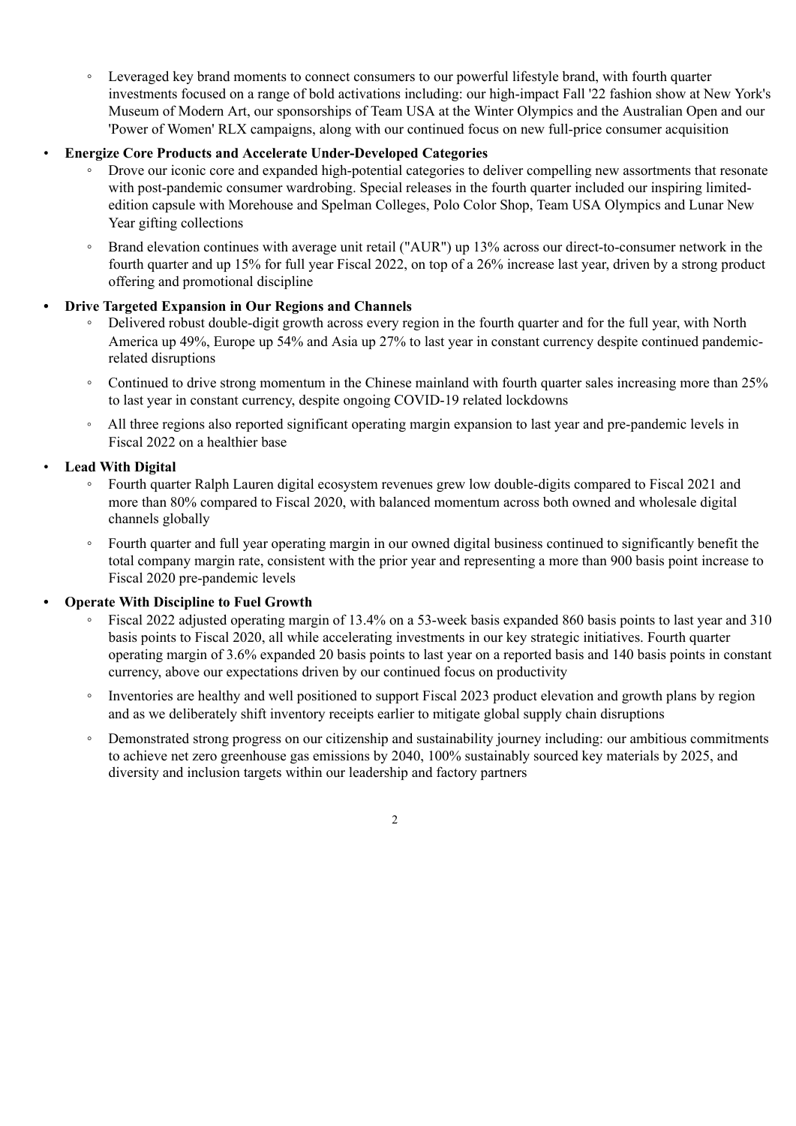◦ Leveraged key brand moments to connect consumers to our powerful lifestyle brand, with fourth quarter investments focused on a range of bold activations including: our high-impact Fall '22 fashion show at New York's Museum of Modern Art, our sponsorships of Team USA at the Winter Olympics and the Australian Open and our 'Power of Women' RLX campaigns, along with our continued focus on new full-price consumer acquisition

# • **Energize Core Products and Accelerate Under-Developed Categories**

- Drove our iconic core and expanded high-potential categories to deliver compelling new assortments that resonate with post-pandemic consumer wardrobing. Special releases in the fourth quarter included our inspiring limitededition capsule with Morehouse and Spelman Colleges, Polo Color Shop, Team USA Olympics and Lunar New Year gifting collections
- Brand elevation continues with average unit retail ("AUR") up 13% across our direct-to-consumer network in the fourth quarter and up 15% for full year Fiscal 2022, on top of a 26% increase last year, driven by a strong product offering and promotional discipline

# **• Drive Targeted Expansion in Our Regions and Channels**

- Delivered robust double-digit growth across every region in the fourth quarter and for the full year, with North America up 49%, Europe up 54% and Asia up 27% to last year in constant currency despite continued pandemicrelated disruptions
- Continued to drive strong momentum in the Chinese mainland with fourth quarter sales increasing more than 25% to last year in constant currency, despite ongoing COVID-19 related lockdowns
- All three regions also reported significant operating margin expansion to last year and pre-pandemic levels in Fiscal 2022 on a healthier base

# • **Lead With Digital**

- Fourth quarter Ralph Lauren digital ecosystem revenues grew low double-digits compared to Fiscal 2021 and more than 80% compared to Fiscal 2020, with balanced momentum across both owned and wholesale digital channels globally
- Fourth quarter and full year operating margin in our owned digital business continued to significantly benefit the total company margin rate, consistent with the prior year and representing a more than 900 basis point increase to Fiscal 2020 pre-pandemic levels

# **• Operate With Discipline to Fuel Growth**

- Fiscal 2022 adjusted operating margin of 13.4% on a 53-week basis expanded 860 basis points to last year and 310 basis points to Fiscal 2020, all while accelerating investments in our key strategic initiatives. Fourth quarter operating margin of 3.6% expanded 20 basis points to last year on a reported basis and 140 basis points in constant currency, above our expectations driven by our continued focus on productivity
- Inventories are healthy and well positioned to support Fiscal 2023 product elevation and growth plans by region and as we deliberately shift inventory receipts earlier to mitigate global supply chain disruptions
- Demonstrated strong progress on our citizenship and sustainability journey including: our ambitious commitments to achieve net zero greenhouse gas emissions by 2040, 100% sustainably sourced key materials by 2025, and diversity and inclusion targets within our leadership and factory partners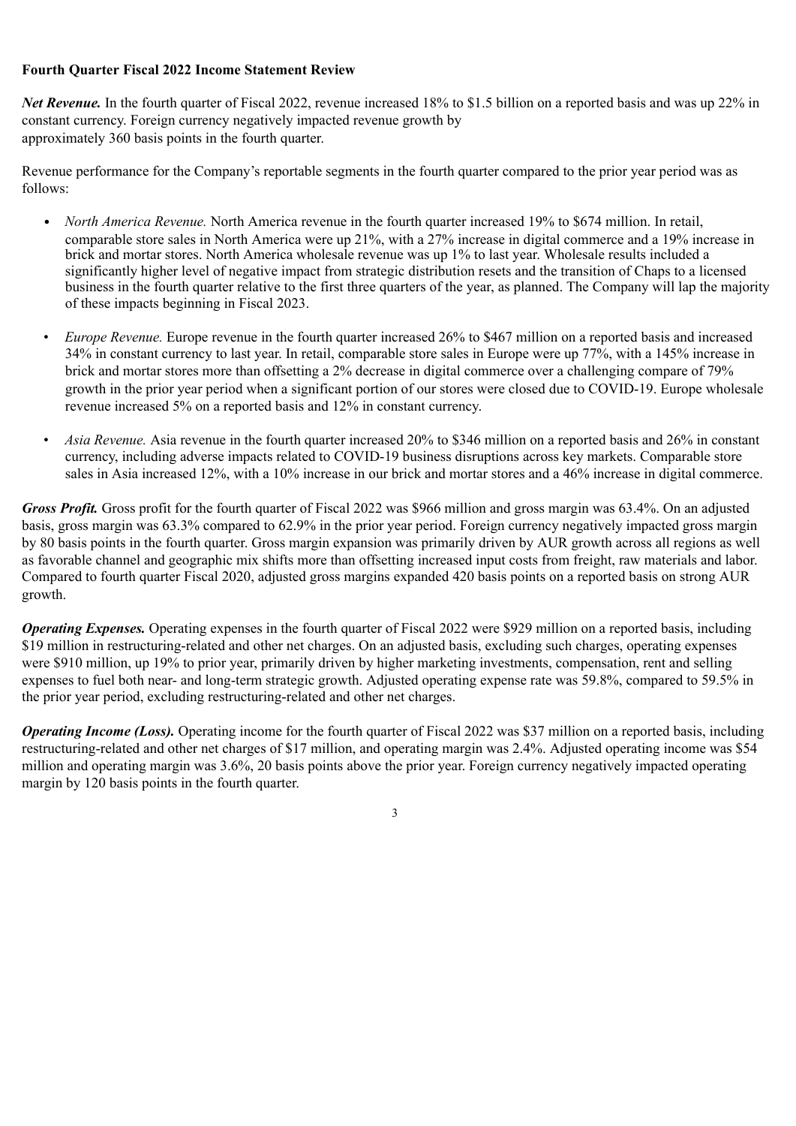# **Fourth Quarter Fiscal 2022 Income Statement Review**

*Net Revenue.* In the fourth quarter of Fiscal 2022, revenue increased 18% to \$1.5 billion on a reported basis and was up 22% in constant currency. Foreign currency negatively impacted revenue growth by approximately 360 basis points in the fourth quarter.

Revenue performance for the Company's reportable segments in the fourth quarter compared to the prior year period was as follows:

- *North America Revenue.* North America revenue in the fourth quarter increased 19% to \$674 million. In retail, comparable store sales in North America were up 21%, with a 27% increase in digital commerce and a 19% increase in brick and mortar stores. North America wholesale revenue was up 1% to last year. Wholesale results included a significantly higher level of negative impact from strategic distribution resets and the transition of Chaps to a licensed business in the fourth quarter relative to the first three quarters of the year, as planned. The Company will lap the majority of these impacts beginning in Fiscal 2023.
- *Europe Revenue.* Europe revenue in the fourth quarter increased 26% to \$467 million on a reported basis and increased 34% in constant currency to last year. In retail, comparable store sales in Europe were up 77%, with a 145% increase in brick and mortar stores more than offsetting a 2% decrease in digital commerce over a challenging compare of 79% growth in the prior year period when a significant portion of our stores were closed due to COVID-19. Europe wholesale revenue increased 5% on a reported basis and 12% in constant currency.
- *Asia Revenue.* Asia revenue in the fourth quarter increased 20% to \$346 million on a reported basis and 26% in constant currency, including adverse impacts related to COVID-19 business disruptions across key markets. Comparable store sales in Asia increased 12%, with a 10% increase in our brick and mortar stores and a 46% increase in digital commerce.

*Gross Profit.* Gross profit for the fourth quarter of Fiscal 2022 was \$966 million and gross margin was 63.4%. On an adjusted basis, gross margin was 63.3% compared to 62.9% in the prior year period. Foreign currency negatively impacted gross margin by 80 basis points in the fourth quarter. Gross margin expansion was primarily driven by AUR growth across all regions as well as favorable channel and geographic mix shifts more than offsetting increased input costs from freight, raw materials and labor. Compared to fourth quarter Fiscal 2020, adjusted gross margins expanded 420 basis points on a reported basis on strong AUR growth.

*Operating Expenses.* Operating expenses in the fourth quarter of Fiscal 2022 were \$929 million on a reported basis, including \$19 million in restructuring-related and other net charges. On an adjusted basis, excluding such charges, operating expenses were \$910 million, up 19% to prior year, primarily driven by higher marketing investments, compensation, rent and selling expenses to fuel both near- and long-term strategic growth. Adjusted operating expense rate was 59.8%, compared to 59.5% in the prior year period, excluding restructuring-related and other net charges.

*Operating Income (Loss).* Operating income for the fourth quarter of Fiscal 2022 was \$37 million on a reported basis, including restructuring-related and other net charges of \$17 million, and operating margin was 2.4%. Adjusted operating income was \$54 million and operating margin was 3.6%, 20 basis points above the prior year. Foreign currency negatively impacted operating margin by 120 basis points in the fourth quarter.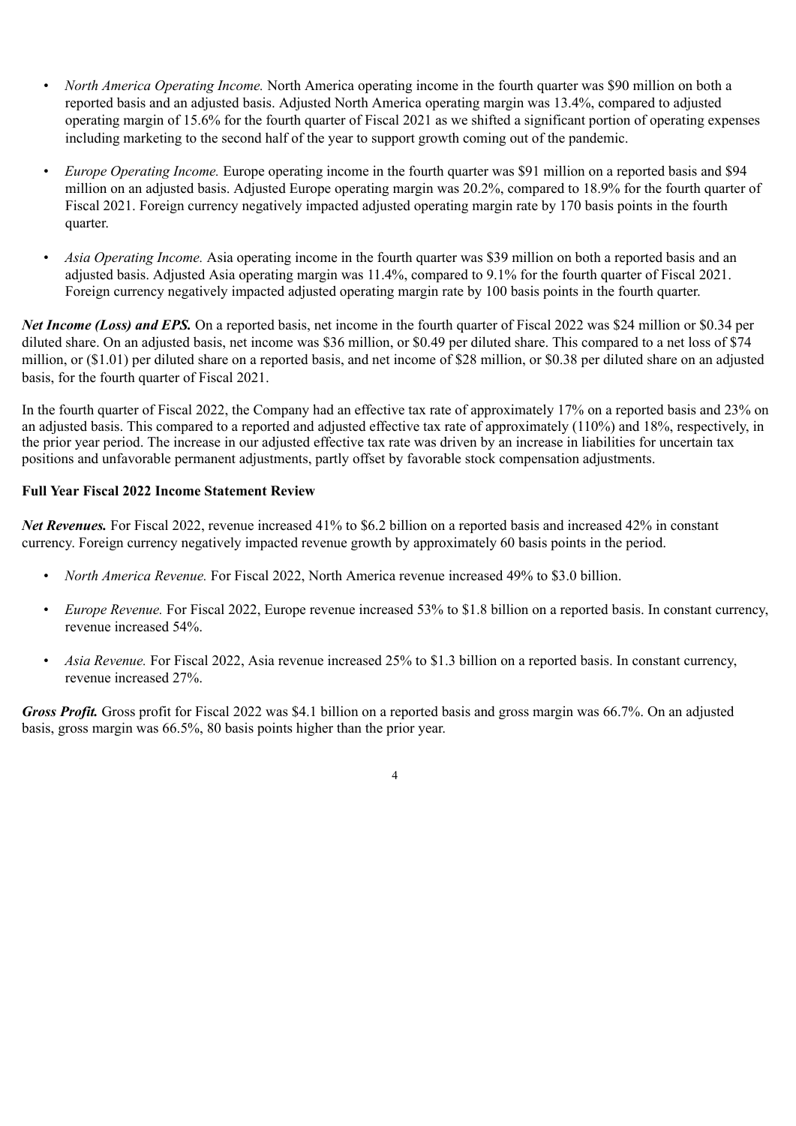- *North America Operating Income.* North America operating income in the fourth quarter was \$90 million on both a reported basis and an adjusted basis. Adjusted North America operating margin was 13.4%, compared to adjusted operating margin of 15.6% for the fourth quarter of Fiscal 2021 as we shifted a significant portion of operating expenses including marketing to the second half of the year to support growth coming out of the pandemic.
- *Europe Operating Income.* Europe operating income in the fourth quarter was \$91 million on a reported basis and \$94 million on an adjusted basis. Adjusted Europe operating margin was 20.2%, compared to 18.9% for the fourth quarter of Fiscal 2021. Foreign currency negatively impacted adjusted operating margin rate by 170 basis points in the fourth quarter.
- *Asia Operating Income.* Asia operating income in the fourth quarter was \$39 million on both a reported basis and an adjusted basis. Adjusted Asia operating margin was 11.4%, compared to 9.1% for the fourth quarter of Fiscal 2021. Foreign currency negatively impacted adjusted operating margin rate by 100 basis points in the fourth quarter.

*Net Income (Loss) and EPS.* On a reported basis, net income in the fourth quarter of Fiscal 2022 was \$24 million or \$0.34 per diluted share. On an adjusted basis, net income was \$36 million, or \$0.49 per diluted share. This compared to a net loss of \$74 million, or (\$1.01) per diluted share on a reported basis, and net income of \$28 million, or \$0.38 per diluted share on an adjusted basis, for the fourth quarter of Fiscal 2021.

In the fourth quarter of Fiscal 2022, the Company had an effective tax rate of approximately 17% on a reported basis and 23% on an adjusted basis. This compared to a reported and adjusted effective tax rate of approximately (110%) and 18%, respectively, in the prior year period. The increase in our adjusted effective tax rate was driven by an increase in liabilities for uncertain tax positions and unfavorable permanent adjustments, partly offset by favorable stock compensation adjustments.

# **Full Year Fiscal 2022 Income Statement Review**

*Net Revenues.* For Fiscal 2022, revenue increased 41% to \$6.2 billion on a reported basis and increased 42% in constant currency. Foreign currency negatively impacted revenue growth by approximately 60 basis points in the period.

- *North America Revenue.* For Fiscal 2022, North America revenue increased 49% to \$3.0 billion.
- *Europe Revenue.* For Fiscal 2022, Europe revenue increased 53% to \$1.8 billion on a reported basis. In constant currency, revenue increased 54%.
- *Asia Revenue.* For Fiscal 2022, Asia revenue increased 25% to \$1.3 billion on a reported basis. In constant currency, revenue increased 27%.

4

*Gross Profit.* Gross profit for Fiscal 2022 was \$4.1 billion on a reported basis and gross margin was 66.7%. On an adjusted basis, gross margin was 66.5%, 80 basis points higher than the prior year.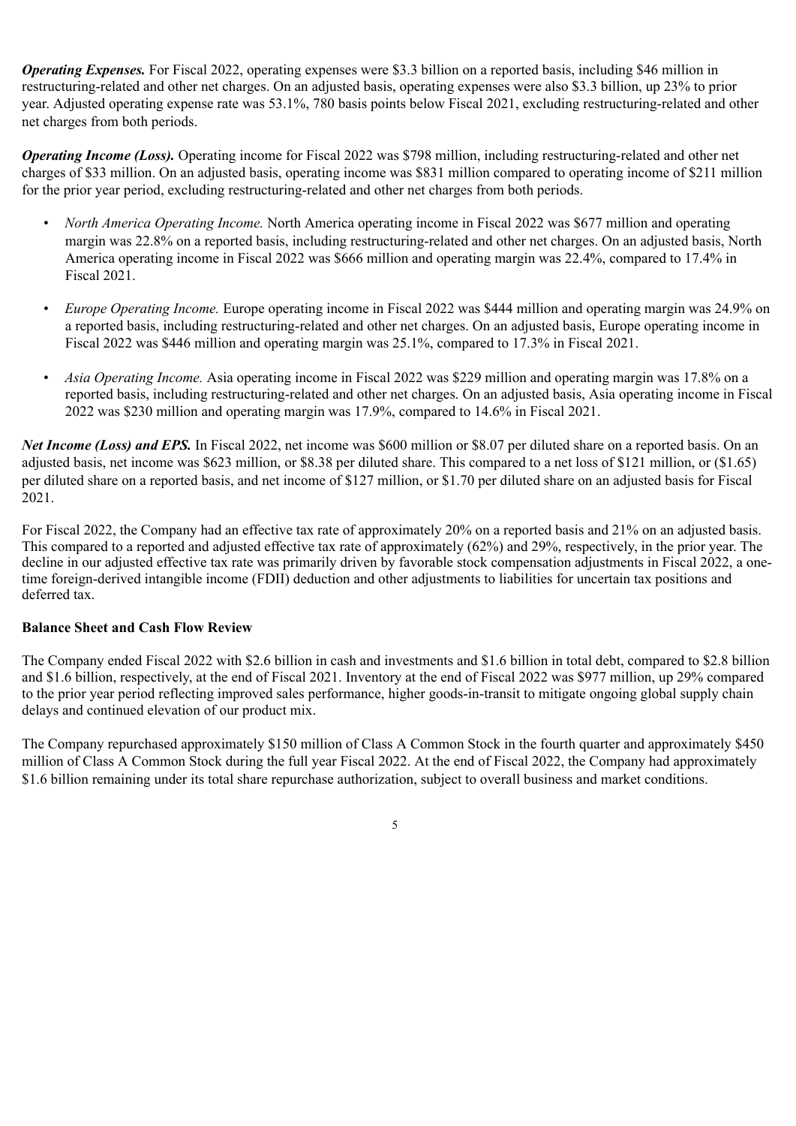*Operating Expenses.* For Fiscal 2022, operating expenses were \$3.3 billion on a reported basis, including \$46 million in restructuring-related and other net charges. On an adjusted basis, operating expenses were also \$3.3 billion, up 23% to prior year. Adjusted operating expense rate was 53.1%, 780 basis points below Fiscal 2021, excluding restructuring-related and other net charges from both periods.

*Operating Income (Loss).* Operating income for Fiscal 2022 was \$798 million, including restructuring-related and other net charges of \$33 million. On an adjusted basis, operating income was \$831 million compared to operating income of \$211 million for the prior year period, excluding restructuring-related and other net charges from both periods.

- *North America Operating Income.* North America operating income in Fiscal 2022 was \$677 million and operating margin was 22.8% on a reported basis, including restructuring-related and other net charges. On an adjusted basis, North America operating income in Fiscal 2022 was \$666 million and operating margin was 22.4%, compared to 17.4% in Fiscal 2021.
- *Europe Operating Income.* Europe operating income in Fiscal 2022 was \$444 million and operating margin was 24.9% on a reported basis, including restructuring-related and other net charges. On an adjusted basis, Europe operating income in Fiscal 2022 was \$446 million and operating margin was 25.1%, compared to 17.3% in Fiscal 2021.
- *Asia Operating Income.* Asia operating income in Fiscal 2022 was \$229 million and operating margin was 17.8% on a reported basis, including restructuring-related and other net charges. On an adjusted basis, Asia operating income in Fiscal 2022 was \$230 million and operating margin was 17.9%, compared to 14.6% in Fiscal 2021.

*Net Income (Loss) and EPS.* In Fiscal 2022, net income was \$600 million or \$8.07 per diluted share on a reported basis. On an adjusted basis, net income was \$623 million, or \$8.38 per diluted share. This compared to a net loss of \$121 million, or (\$1.65) per diluted share on a reported basis, and net income of \$127 million, or \$1.70 per diluted share on an adjusted basis for Fiscal 2021.

For Fiscal 2022, the Company had an effective tax rate of approximately 20% on a reported basis and 21% on an adjusted basis. This compared to a reported and adjusted effective tax rate of approximately (62%) and 29%, respectively, in the prior year. The decline in our adjusted effective tax rate was primarily driven by favorable stock compensation adjustments in Fiscal 2022, a onetime foreign-derived intangible income (FDII) deduction and other adjustments to liabilities for uncertain tax positions and deferred tax.

# **Balance Sheet and Cash Flow Review**

The Company ended Fiscal 2022 with \$2.6 billion in cash and investments and \$1.6 billion in total debt, compared to \$2.8 billion and \$1.6 billion, respectively, at the end of Fiscal 2021. Inventory at the end of Fiscal 2022 was \$977 million, up 29% compared to the prior year period reflecting improved sales performance, higher goods-in-transit to mitigate ongoing global supply chain delays and continued elevation of our product mix.

The Company repurchased approximately \$150 million of Class A Common Stock in the fourth quarter and approximately \$450 million of Class A Common Stock during the full year Fiscal 2022. At the end of Fiscal 2022, the Company had approximately \$1.6 billion remaining under its total share repurchase authorization, subject to overall business and market conditions.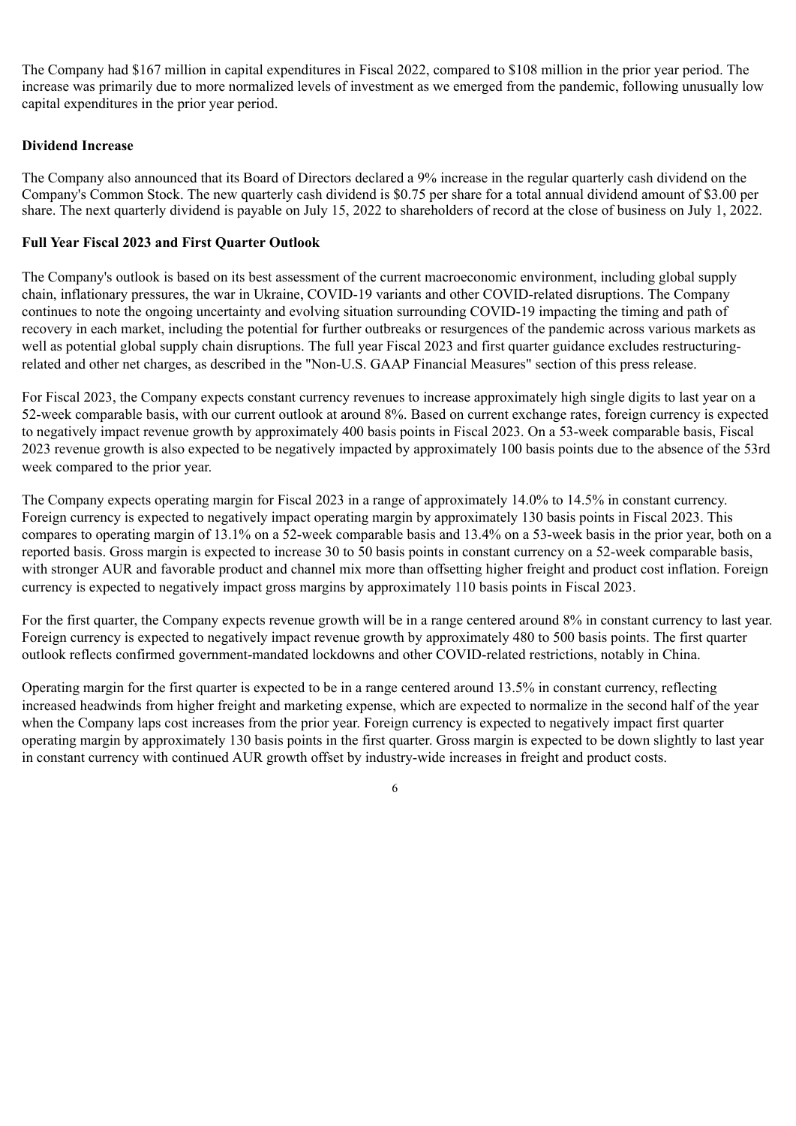The Company had \$167 million in capital expenditures in Fiscal 2022, compared to \$108 million in the prior year period. The increase was primarily due to more normalized levels of investment as we emerged from the pandemic, following unusually low capital expenditures in the prior year period.

# **Dividend Increase**

The Company also announced that its Board of Directors declared a 9% increase in the regular quarterly cash dividend on the Company's Common Stock. The new quarterly cash dividend is \$0.75 per share for a total annual dividend amount of \$3.00 per share. The next quarterly dividend is payable on July 15, 2022 to shareholders of record at the close of business on July 1, 2022.

# **Full Year Fiscal 2023 and First Quarter Outlook**

The Company's outlook is based on its best assessment of the current macroeconomic environment, including global supply chain, inflationary pressures, the war in Ukraine, COVID-19 variants and other COVID-related disruptions. The Company continues to note the ongoing uncertainty and evolving situation surrounding COVID-19 impacting the timing and path of recovery in each market, including the potential for further outbreaks or resurgences of the pandemic across various markets as well as potential global supply chain disruptions. The full year Fiscal 2023 and first quarter guidance excludes restructuringrelated and other net charges, as described in the "Non-U.S. GAAP Financial Measures" section of this press release.

For Fiscal 2023, the Company expects constant currency revenues to increase approximately high single digits to last year on a 52-week comparable basis, with our current outlook at around 8%. Based on current exchange rates, foreign currency is expected to negatively impact revenue growth by approximately 400 basis points in Fiscal 2023. On a 53-week comparable basis, Fiscal 2023 revenue growth is also expected to be negatively impacted by approximately 100 basis points due to the absence of the 53rd week compared to the prior year.

The Company expects operating margin for Fiscal 2023 in a range of approximately 14.0% to 14.5% in constant currency. Foreign currency is expected to negatively impact operating margin by approximately 130 basis points in Fiscal 2023. This compares to operating margin of 13.1% on a 52-week comparable basis and 13.4% on a 53-week basis in the prior year, both on a reported basis. Gross margin is expected to increase 30 to 50 basis points in constant currency on a 52-week comparable basis, with stronger AUR and favorable product and channel mix more than offsetting higher freight and product cost inflation. Foreign currency is expected to negatively impact gross margins by approximately 110 basis points in Fiscal 2023.

For the first quarter, the Company expects revenue growth will be in a range centered around 8% in constant currency to last year. Foreign currency is expected to negatively impact revenue growth by approximately 480 to 500 basis points. The first quarter outlook reflects confirmed government-mandated lockdowns and other COVID-related restrictions, notably in China.

Operating margin for the first quarter is expected to be in a range centered around 13.5% in constant currency, reflecting increased headwinds from higher freight and marketing expense, which are expected to normalize in the second half of the year when the Company laps cost increases from the prior year. Foreign currency is expected to negatively impact first quarter operating margin by approximately 130 basis points in the first quarter. Gross margin is expected to be down slightly to last year in constant currency with continued AUR growth offset by industry-wide increases in freight and product costs.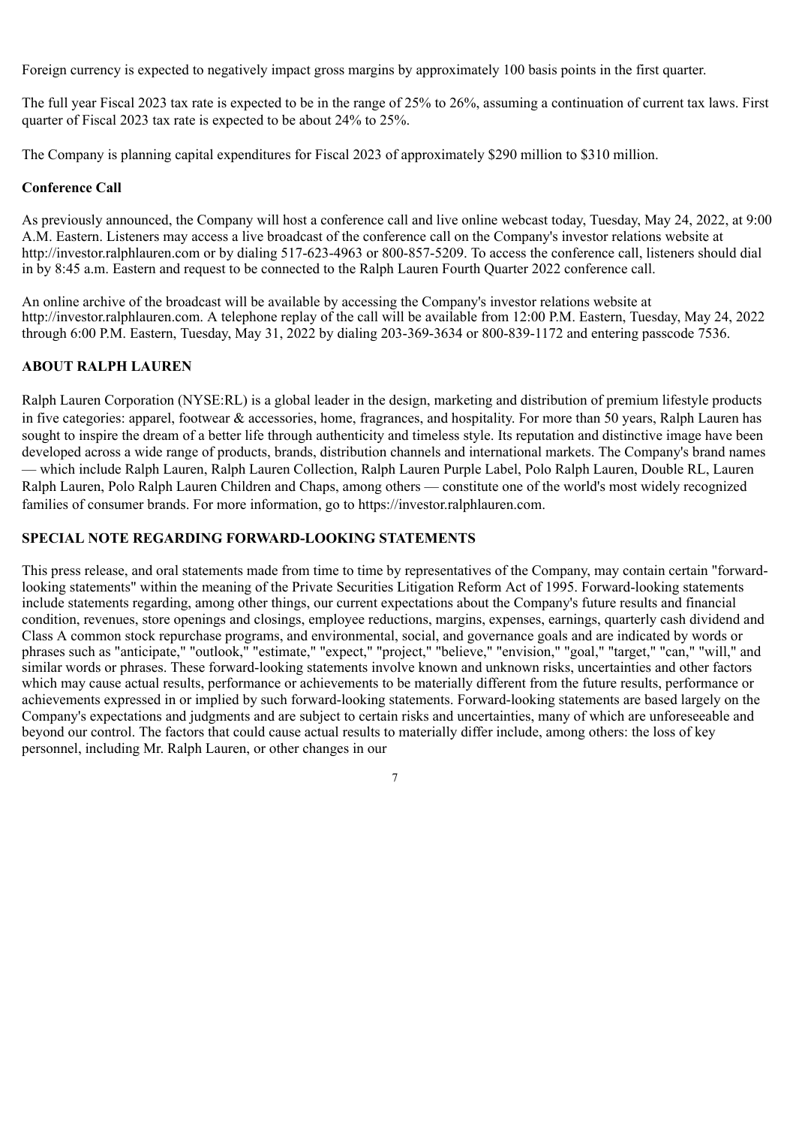Foreign currency is expected to negatively impact gross margins by approximately 100 basis points in the first quarter.

The full year Fiscal 2023 tax rate is expected to be in the range of 25% to 26%, assuming a continuation of current tax laws. First quarter of Fiscal 2023 tax rate is expected to be about 24% to 25%.

The Company is planning capital expenditures for Fiscal 2023 of approximately \$290 million to \$310 million.

# **Conference Call**

As previously announced, the Company will host a conference call and live online webcast today, Tuesday, May 24, 2022, at 9:00 A.M. Eastern. Listeners may access a live broadcast of the conference call on the Company's investor relations website at http://investor.ralphlauren.com or by dialing 517-623-4963 or 800-857-5209. To access the conference call, listeners should dial in by 8:45 a.m. Eastern and request to be connected to the Ralph Lauren Fourth Quarter 2022 conference call.

An online archive of the broadcast will be available by accessing the Company's investor relations website at http://investor.ralphlauren.com. A telephone replay of the call will be available from 12:00 P.M. Eastern, Tuesday, May 24, 2022 through 6:00 P.M. Eastern, Tuesday, May 31, 2022 by dialing 203-369-3634 or 800-839-1172 and entering passcode 7536.

# **ABOUT RALPH LAUREN**

Ralph Lauren Corporation (NYSE:RL) is a global leader in the design, marketing and distribution of premium lifestyle products in five categories: apparel, footwear & accessories, home, fragrances, and hospitality. For more than 50 years, Ralph Lauren has sought to inspire the dream of a better life through authenticity and timeless style. Its reputation and distinctive image have been developed across a wide range of products, brands, distribution channels and international markets. The Company's brand names — which include Ralph Lauren, Ralph Lauren Collection, Ralph Lauren Purple Label, Polo Ralph Lauren, Double RL, Lauren Ralph Lauren, Polo Ralph Lauren Children and Chaps, among others — constitute one of the world's most widely recognized families of consumer brands. For more information, go to https://investor.ralphlauren.com.

# **SPECIAL NOTE REGARDING FORWARD-LOOKING STATEMENTS**

This press release, and oral statements made from time to time by representatives of the Company, may contain certain "forwardlooking statements" within the meaning of the Private Securities Litigation Reform Act of 1995. Forward-looking statements include statements regarding, among other things, our current expectations about the Company's future results and financial condition, revenues, store openings and closings, employee reductions, margins, expenses, earnings, quarterly cash dividend and Class A common stock repurchase programs, and environmental, social, and governance goals and are indicated by words or phrases such as "anticipate," "outlook," "estimate," "expect," "project," "believe," "envision," "goal," "target," "can," "will," and similar words or phrases. These forward-looking statements involve known and unknown risks, uncertainties and other factors which may cause actual results, performance or achievements to be materially different from the future results, performance or achievements expressed in or implied by such forward-looking statements. Forward-looking statements are based largely on the Company's expectations and judgments and are subject to certain risks and uncertainties, many of which are unforeseeable and beyond our control. The factors that could cause actual results to materially differ include, among others: the loss of key personnel, including Mr. Ralph Lauren, or other changes in our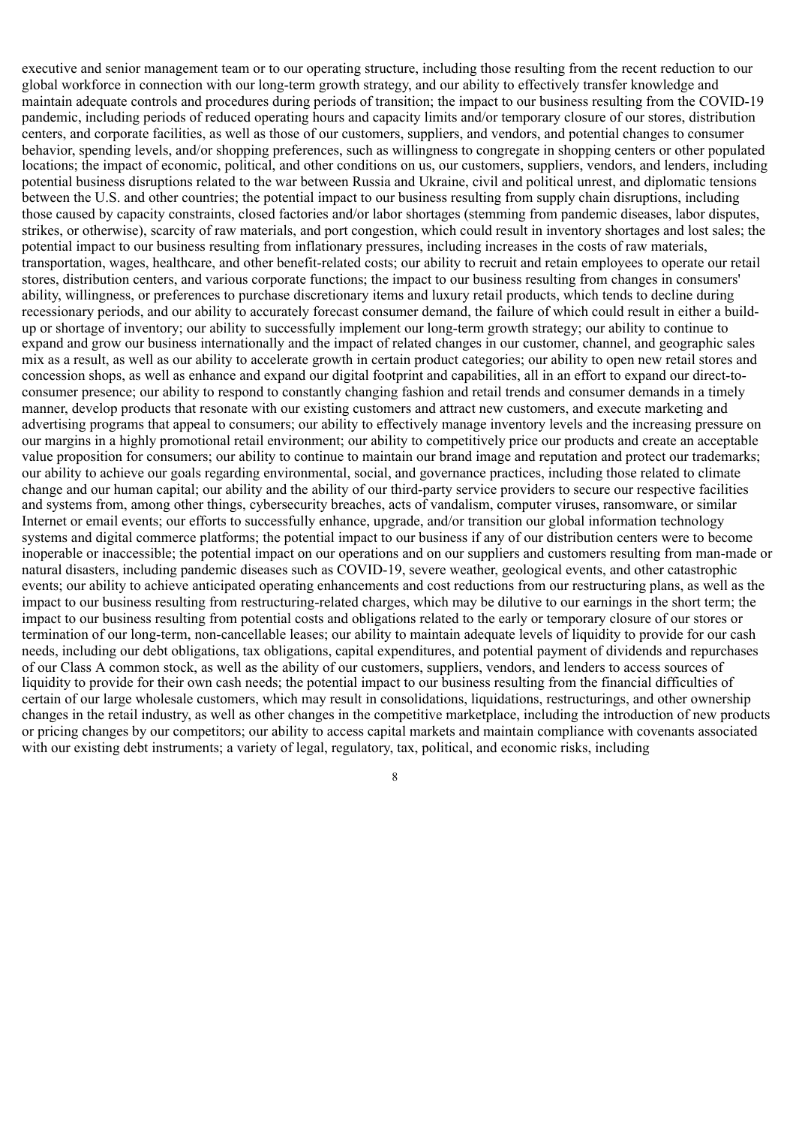executive and senior management team or to our operating structure, including those resulting from the recent reduction to our global workforce in connection with our long-term growth strategy, and our ability to effectively transfer knowledge and maintain adequate controls and procedures during periods of transition; the impact to our business resulting from the COVID-19 pandemic, including periods of reduced operating hours and capacity limits and/or temporary closure of our stores, distribution centers, and corporate facilities, as well as those of our customers, suppliers, and vendors, and potential changes to consumer behavior, spending levels, and/or shopping preferences, such as willingness to congregate in shopping centers or other populated locations; the impact of economic, political, and other conditions on us, our customers, suppliers, vendors, and lenders, including potential business disruptions related to the war between Russia and Ukraine, civil and political unrest, and diplomatic tensions between the U.S. and other countries; the potential impact to our business resulting from supply chain disruptions, including those caused by capacity constraints, closed factories and/or labor shortages (stemming from pandemic diseases, labor disputes, strikes, or otherwise), scarcity of raw materials, and port congestion, which could result in inventory shortages and lost sales; the potential impact to our business resulting from inflationary pressures, including increases in the costs of raw materials, transportation, wages, healthcare, and other benefit-related costs; our ability to recruit and retain employees to operate our retail stores, distribution centers, and various corporate functions; the impact to our business resulting from changes in consumers' ability, willingness, or preferences to purchase discretionary items and luxury retail products, which tends to decline during recessionary periods, and our ability to accurately forecast consumer demand, the failure of which could result in either a buildup or shortage of inventory; our ability to successfully implement our long-term growth strategy; our ability to continue to expand and grow our business internationally and the impact of related changes in our customer, channel, and geographic sales mix as a result, as well as our ability to accelerate growth in certain product categories; our ability to open new retail stores and concession shops, as well as enhance and expand our digital footprint and capabilities, all in an effort to expand our direct-toconsumer presence; our ability to respond to constantly changing fashion and retail trends and consumer demands in a timely manner, develop products that resonate with our existing customers and attract new customers, and execute marketing and advertising programs that appeal to consumers; our ability to effectively manage inventory levels and the increasing pressure on our margins in a highly promotional retail environment; our ability to competitively price our products and create an acceptable value proposition for consumers; our ability to continue to maintain our brand image and reputation and protect our trademarks; our ability to achieve our goals regarding environmental, social, and governance practices, including those related to climate change and our human capital; our ability and the ability of our third-party service providers to secure our respective facilities and systems from, among other things, cybersecurity breaches, acts of vandalism, computer viruses, ransomware, or similar Internet or email events; our efforts to successfully enhance, upgrade, and/or transition our global information technology systems and digital commerce platforms; the potential impact to our business if any of our distribution centers were to become inoperable or inaccessible; the potential impact on our operations and on our suppliers and customers resulting from man-made or natural disasters, including pandemic diseases such as COVID-19, severe weather, geological events, and other catastrophic events; our ability to achieve anticipated operating enhancements and cost reductions from our restructuring plans, as well as the impact to our business resulting from restructuring-related charges, which may be dilutive to our earnings in the short term; the impact to our business resulting from potential costs and obligations related to the early or temporary closure of our stores or termination of our long-term, non-cancellable leases; our ability to maintain adequate levels of liquidity to provide for our cash needs, including our debt obligations, tax obligations, capital expenditures, and potential payment of dividends and repurchases of our Class A common stock, as well as the ability of our customers, suppliers, vendors, and lenders to access sources of liquidity to provide for their own cash needs; the potential impact to our business resulting from the financial difficulties of certain of our large wholesale customers, which may result in consolidations, liquidations, restructurings, and other ownership changes in the retail industry, as well as other changes in the competitive marketplace, including the introduction of new products or pricing changes by our competitors; our ability to access capital markets and maintain compliance with covenants associated with our existing debt instruments; a variety of legal, regulatory, tax, political, and economic risks, including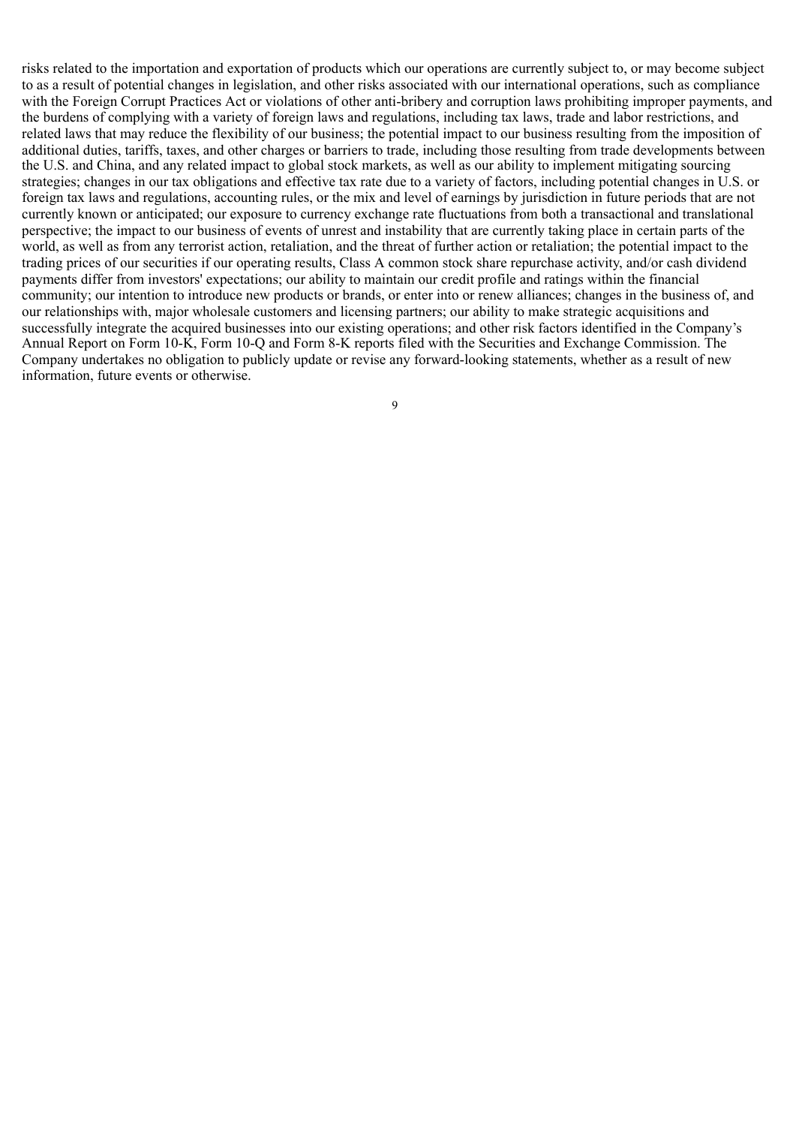risks related to the importation and exportation of products which our operations are currently subject to, or may become subject to as a result of potential changes in legislation, and other risks associated with our international operations, such as compliance with the Foreign Corrupt Practices Act or violations of other anti-bribery and corruption laws prohibiting improper payments, and the burdens of complying with a variety of foreign laws and regulations, including tax laws, trade and labor restrictions, and related laws that may reduce the flexibility of our business; the potential impact to our business resulting from the imposition of additional duties, tariffs, taxes, and other charges or barriers to trade, including those resulting from trade developments between the U.S. and China, and any related impact to global stock markets, as well as our ability to implement mitigating sourcing strategies; changes in our tax obligations and effective tax rate due to a variety of factors, including potential changes in U.S. or foreign tax laws and regulations, accounting rules, or the mix and level of earnings by jurisdiction in future periods that are not currently known or anticipated; our exposure to currency exchange rate fluctuations from both a transactional and translational perspective; the impact to our business of events of unrest and instability that are currently taking place in certain parts of the world, as well as from any terrorist action, retaliation, and the threat of further action or retaliation; the potential impact to the trading prices of our securities if our operating results, Class A common stock share repurchase activity, and/or cash dividend payments differ from investors' expectations; our ability to maintain our credit profile and ratings within the financial community; our intention to introduce new products or brands, or enter into or renew alliances; changes in the business of, and our relationships with, major wholesale customers and licensing partners; our ability to make strategic acquisitions and successfully integrate the acquired businesses into our existing operations; and other risk factors identified in the Company's Annual Report on Form 10-K, Form 10-Q and Form 8-K reports filed with the Securities and Exchange Commission. The Company undertakes no obligation to publicly update or revise any forward-looking statements, whether as a result of new information, future events or otherwise.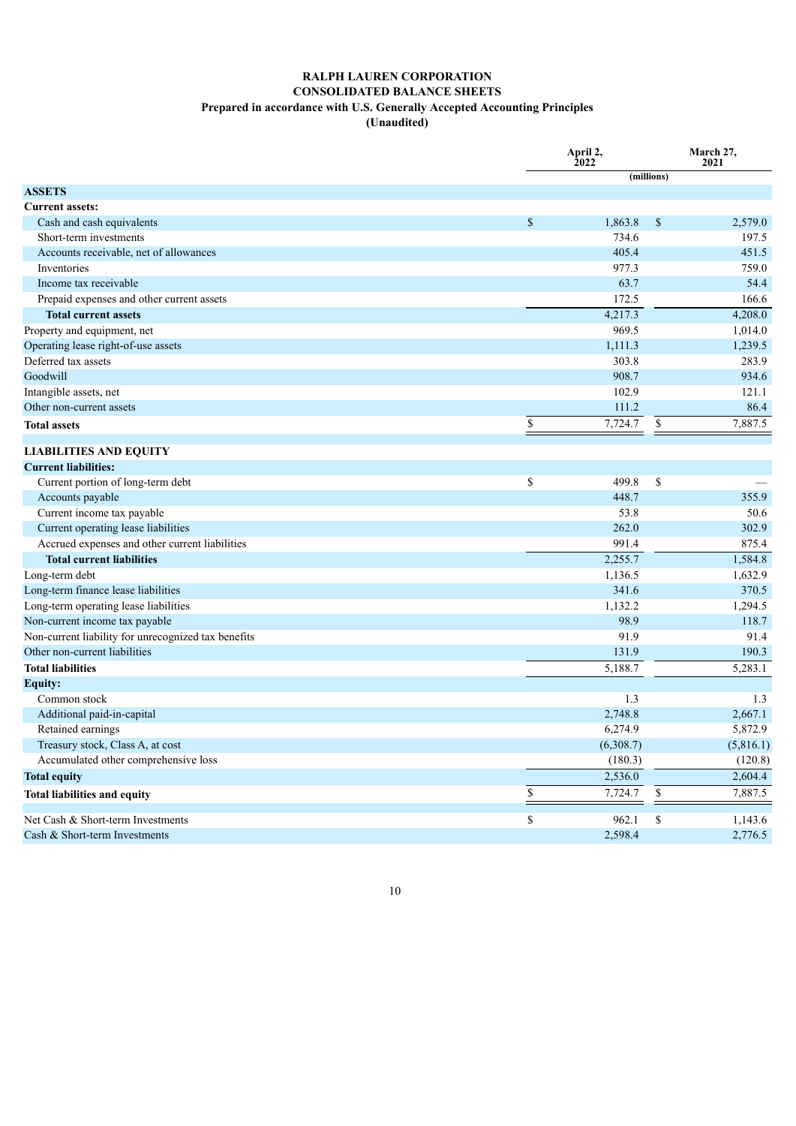#### **RALPH LAUREN CORPORATION CONSOLIDATED BALANCE SHEETS Prepared in accordance with U.S. Generally Accepted Accounting Principles (Unaudited)**

|                                                     | April 2,<br>2022 | March 27,<br>2021 |           |  |
|-----------------------------------------------------|------------------|-------------------|-----------|--|
|                                                     |                  | (millions)        |           |  |
| <b>ASSETS</b>                                       |                  |                   |           |  |
| <b>Current assets:</b>                              |                  |                   |           |  |
| Cash and cash equivalents                           | \$<br>1,863.8    | \$                | 2,579.0   |  |
| Short-term investments                              | 734.6            |                   | 197.5     |  |
| Accounts receivable, net of allowances              | 405.4            |                   | 451.5     |  |
| Inventories                                         | 977.3            |                   | 759.0     |  |
| Income tax receivable                               | 63.7             |                   | 54.4      |  |
| Prepaid expenses and other current assets           | 172.5            |                   | 166.6     |  |
| <b>Total current assets</b>                         | 4,217.3          |                   | 4,208.0   |  |
| Property and equipment, net                         | 969.5            |                   | 1,014.0   |  |
| Operating lease right-of-use assets                 | 1,111.3          |                   | 1,239.5   |  |
| Deferred tax assets                                 | 303.8            |                   | 283.9     |  |
| Goodwill                                            | 908.7            |                   | 934.6     |  |
| Intangible assets, net                              | 102.9            |                   | 121.1     |  |
| Other non-current assets                            | 111.2            |                   | 86.4      |  |
| <b>Total assets</b>                                 | \$<br>7,724.7    | \$                | 7,887.5   |  |
| <b>LIABILITIES AND EQUITY</b>                       |                  |                   |           |  |
| <b>Current liabilities:</b>                         |                  |                   |           |  |
| Current portion of long-term debt                   | \$<br>499.8      | \$                |           |  |
| Accounts payable                                    | 448.7            |                   | 355.9     |  |
| Current income tax payable                          | 53.8             |                   | 50.6      |  |
| Current operating lease liabilities                 | 262.0            |                   | 302.9     |  |
| Accrued expenses and other current liabilities      | 991.4            |                   | 875.4     |  |
| <b>Total current liabilities</b>                    | 2,255.7          |                   | 1,584.8   |  |
| Long-term debt                                      | 1,136.5          |                   | 1,632.9   |  |
| Long-term finance lease liabilities                 | 341.6            |                   | 370.5     |  |
| Long-term operating lease liabilities               | 1,132.2          |                   | 1,294.5   |  |
| Non-current income tax payable                      | 98.9             |                   | 118.7     |  |
| Non-current liability for unrecognized tax benefits | 91.9             |                   | 91.4      |  |
| Other non-current liabilities                       | 131.9            |                   | 190.3     |  |
| <b>Total liabilities</b>                            | 5,188.7          |                   | 5,283.1   |  |
| <b>Equity:</b>                                      |                  |                   |           |  |
| Common stock                                        | 1.3              |                   | 1.3       |  |
| Additional paid-in-capital                          | 2,748.8          |                   | 2,667.1   |  |
| Retained earnings                                   | 6,274.9          |                   | 5,872.9   |  |
| Treasury stock, Class A, at cost                    | (6,308.7)        |                   | (5,816.1) |  |
| Accumulated other comprehensive loss                | (180.3)          |                   | (120.8)   |  |
| <b>Total equity</b>                                 | 2,536.0          |                   | 2,604.4   |  |
|                                                     |                  |                   |           |  |
| <b>Total liabilities and equity</b>                 | \$<br>7,724.7    | \$                | 7,887.5   |  |
| Net Cash & Short-term Investments                   | \$<br>962.1      | \$                | 1,143.6   |  |
| Cash & Short-term Investments                       | 2,598.4          |                   | 2,776.5   |  |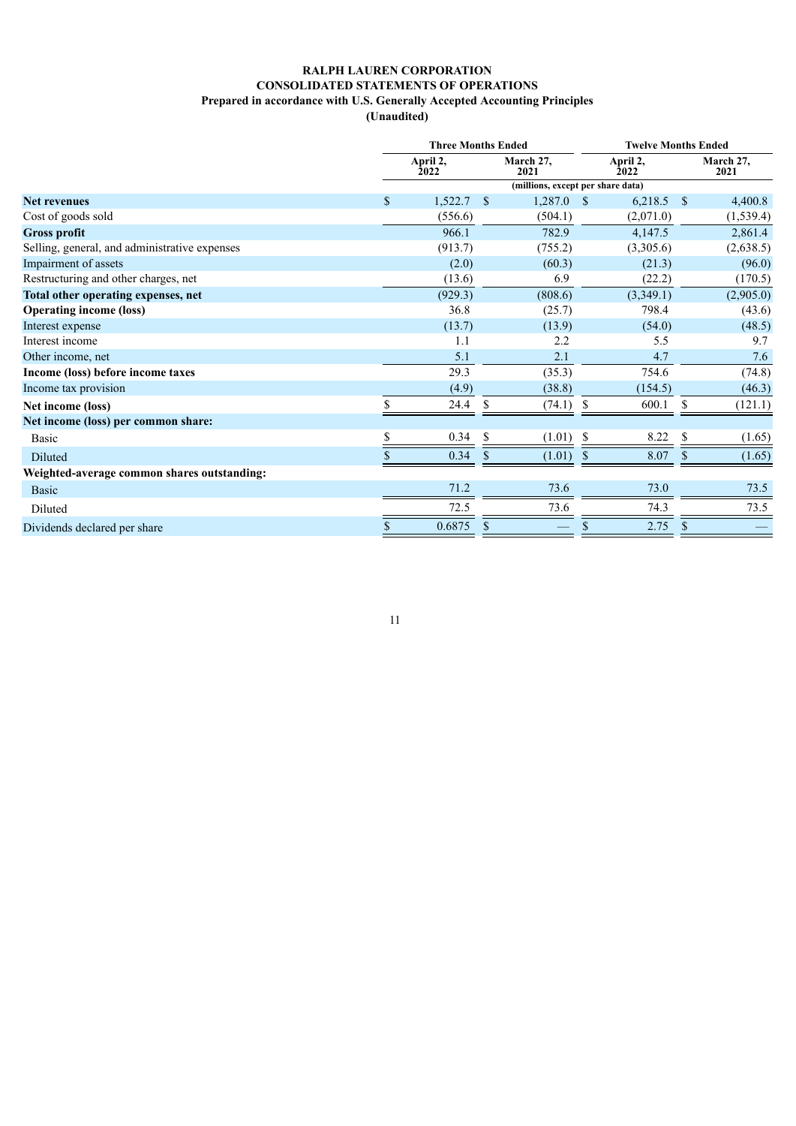# **RALPH LAUREN CORPORATION CONSOLIDATED STATEMENTS OF OPERATIONS Prepared in accordance with U.S. Generally Accepted Accounting Principles**

**(Unaudited)**

|                                               |    | <b>Three Months Ended</b>             |               |                                   |               | <b>Twelve Months Ended</b> |            |                   |  |  |  |
|-----------------------------------------------|----|---------------------------------------|---------------|-----------------------------------|---------------|----------------------------|------------|-------------------|--|--|--|
|                                               |    | April 2,<br>March 27,<br>2022<br>2021 |               |                                   |               | April 2,<br>2022           |            | March 27,<br>2021 |  |  |  |
|                                               |    |                                       |               | (millions, except per share data) |               |                            |            |                   |  |  |  |
| <b>Net revenues</b>                           | \$ | 1,522.7                               | $^{\circ}$    | $1,287.0$ \$                      |               | 6,218.5                    | $^{\circ}$ | 4,400.8           |  |  |  |
| Cost of goods sold                            |    | (556.6)                               |               | (504.1)                           |               | (2,071.0)                  |            | (1, 539.4)        |  |  |  |
| <b>Gross profit</b>                           |    | 966.1                                 |               | 782.9                             |               | 4,147.5                    |            | 2,861.4           |  |  |  |
| Selling, general, and administrative expenses |    | (913.7)                               |               | (755.2)                           |               | (3,305.6)                  |            | (2,638.5)         |  |  |  |
| Impairment of assets                          |    | (2.0)                                 |               | (60.3)                            |               | (21.3)                     |            | (96.0)            |  |  |  |
| Restructuring and other charges, net          |    | (13.6)                                |               | 6.9                               |               | (22.2)                     |            | (170.5)           |  |  |  |
| Total other operating expenses, net           |    | (929.3)                               |               | (808.6)                           |               | (3,349.1)                  |            | (2,905.0)         |  |  |  |
| <b>Operating income (loss)</b>                |    | 36.8                                  |               | (25.7)                            |               | 798.4                      |            | (43.6)            |  |  |  |
| Interest expense                              |    | (13.7)                                |               | (13.9)                            |               | (54.0)                     |            | (48.5)            |  |  |  |
| Interest income                               |    | 1.1                                   |               | 2.2                               |               | 5.5                        |            | 9.7               |  |  |  |
| Other income, net                             |    | 5.1                                   |               | 2.1                               |               | 4.7                        |            | 7.6               |  |  |  |
| Income (loss) before income taxes             |    | 29.3                                  |               | (35.3)                            |               | 754.6                      |            | (74.8)            |  |  |  |
| Income tax provision                          |    | (4.9)                                 |               | (38.8)                            |               | (154.5)                    |            | (46.3)            |  |  |  |
| Net income (loss)                             |    | 24.4                                  | S             | (74.1)                            | -S            | 600.1                      | \$         | (121.1)           |  |  |  |
| Net income (loss) per common share:           |    |                                       |               |                                   |               |                            |            |                   |  |  |  |
| <b>Basic</b>                                  | \$ | 0.34                                  | <sup>\$</sup> | $(1.01)$ \$                       |               | 8.22                       | \$         | (1.65)            |  |  |  |
| Diluted                                       | \$ | 0.34                                  | $\mathcal{S}$ | (1.01)                            | <sup>\$</sup> | 8.07                       | S          | (1.65)            |  |  |  |
| Weighted-average common shares outstanding:   |    |                                       |               |                                   |               |                            |            |                   |  |  |  |
| Basic                                         |    | 71.2                                  |               | 73.6                              |               | 73.0                       |            | 73.5              |  |  |  |
| Diluted                                       |    | 72.5                                  |               | 73.6                              |               | 74.3                       |            | 73.5              |  |  |  |
| Dividends declared per share                  | \$ | 0.6875                                | \$            |                                   |               | 2.75                       | \$         |                   |  |  |  |
|                                               |    |                                       |               |                                   |               |                            |            |                   |  |  |  |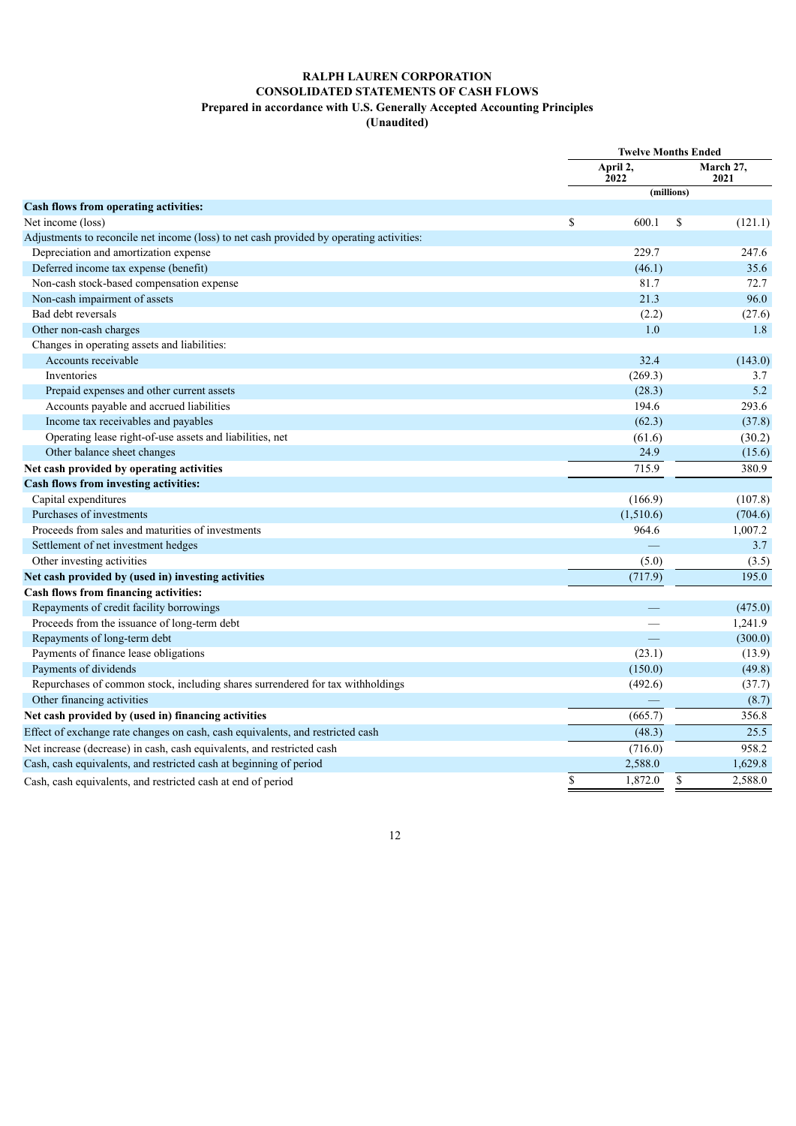### **RALPH LAUREN CORPORATION CONSOLIDATED STATEMENTS OF CASH FLOWS Prepared in accordance with U.S. Generally Accepted Accounting Principles**

**(Unaudited)**

|                                                                                          | <b>Twelve Months Ended</b> |                  |             |                   |
|------------------------------------------------------------------------------------------|----------------------------|------------------|-------------|-------------------|
|                                                                                          |                            | April 2,<br>2022 |             | March 27,<br>2021 |
|                                                                                          |                            |                  | (millions)  |                   |
| Cash flows from operating activities:                                                    |                            |                  |             |                   |
| Net income (loss)                                                                        | \$                         | 600.1            | \$          | (121.1)           |
| Adjustments to reconcile net income (loss) to net cash provided by operating activities: |                            |                  |             |                   |
| Depreciation and amortization expense                                                    |                            | 229.7            |             | 247.6             |
| Deferred income tax expense (benefit)                                                    |                            | (46.1)           |             | 35.6              |
| Non-cash stock-based compensation expense                                                |                            | 81.7             |             | 72.7              |
| Non-cash impairment of assets                                                            |                            | 21.3             |             | 96.0              |
| Bad debt reversals                                                                       |                            | (2.2)            |             | (27.6)            |
| Other non-cash charges                                                                   |                            | 1.0              |             | 1.8               |
| Changes in operating assets and liabilities:                                             |                            |                  |             |                   |
| Accounts receivable                                                                      |                            | 32.4             |             | (143.0)           |
| Inventories                                                                              |                            | (269.3)          |             | 3.7               |
| Prepaid expenses and other current assets                                                |                            | (28.3)           |             | 5.2               |
| Accounts payable and accrued liabilities                                                 |                            | 194.6            |             | 293.6             |
| Income tax receivables and payables                                                      |                            | (62.3)           |             | (37.8)            |
| Operating lease right-of-use assets and liabilities, net                                 |                            | (61.6)           |             | (30.2)            |
| Other balance sheet changes                                                              |                            | 24.9             |             | (15.6)            |
| Net cash provided by operating activities                                                |                            | 715.9            |             | 380.9             |
| Cash flows from investing activities:                                                    |                            |                  |             |                   |
| Capital expenditures                                                                     |                            | (166.9)          |             | (107.8)           |
| Purchases of investments                                                                 |                            | (1,510.6)        |             | (704.6)           |
| Proceeds from sales and maturities of investments                                        |                            | 964.6            |             | 1,007.2           |
| Settlement of net investment hedges                                                      |                            |                  |             | 3.7               |
| Other investing activities                                                               |                            | (5.0)            |             | (3.5)             |
| Net cash provided by (used in) investing activities                                      |                            | (717.9)          |             | 195.0             |
| Cash flows from financing activities:                                                    |                            |                  |             |                   |
| Repayments of credit facility borrowings                                                 |                            |                  |             | (475.0)           |
| Proceeds from the issuance of long-term debt                                             |                            |                  |             | 1,241.9           |
| Repayments of long-term debt                                                             |                            |                  |             | (300.0)           |
| Payments of finance lease obligations                                                    |                            | (23.1)           |             | (13.9)            |
| Payments of dividends                                                                    |                            | (150.0)          |             | (49.8)            |
| Repurchases of common stock, including shares surrendered for tax withholdings           |                            | (492.6)          |             | (37.7)            |
| Other financing activities                                                               |                            |                  |             | (8.7)             |
| Net cash provided by (used in) financing activities                                      |                            | (665.7)          |             | 356.8             |
| Effect of exchange rate changes on cash, cash equivalents, and restricted cash           |                            | (48.3)           |             | 25.5              |
| Net increase (decrease) in cash, cash equivalents, and restricted cash                   |                            | (716.0)          |             | 958.2             |
| Cash, cash equivalents, and restricted cash at beginning of period                       |                            | 2,588.0          |             | 1,629.8           |
| Cash, cash equivalents, and restricted cash at end of period                             | \$                         | 1,872.0          | $\mathbf S$ | 2,588.0           |
|                                                                                          |                            |                  |             |                   |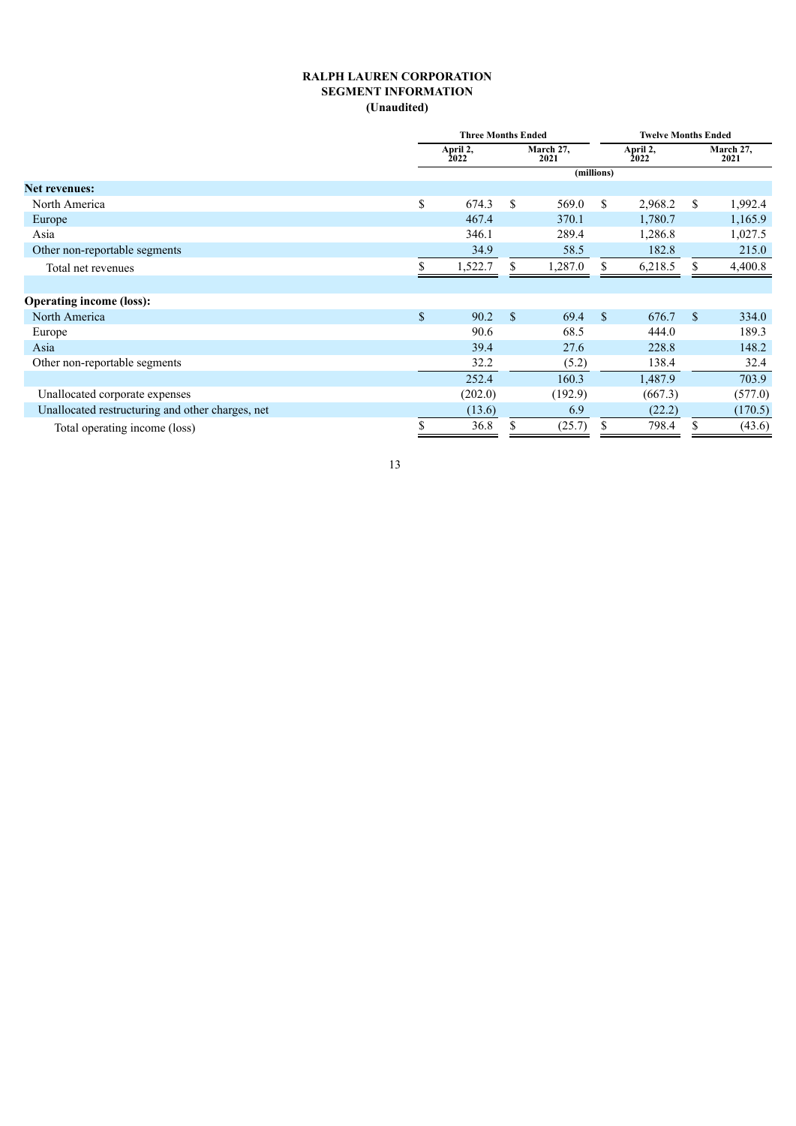### **RALPH LAUREN CORPORATION SEGMENT INFORMATION (Unaudited)**

|                                                  | <b>Three Months Ended</b> |             |                   |             | <b>Twelve Months Ended</b> |             |                   |  |  |  |
|--------------------------------------------------|---------------------------|-------------|-------------------|-------------|----------------------------|-------------|-------------------|--|--|--|
|                                                  | April 2,<br>2022          |             | March 27,<br>2021 |             | April 2,<br>2022           |             | March 27,<br>2021 |  |  |  |
|                                                  |                           |             |                   | (millions)  |                            |             |                   |  |  |  |
| <b>Net revenues:</b>                             |                           |             |                   |             |                            |             |                   |  |  |  |
| North America                                    | \$<br>674.3               | \$          | 569.0             | \$          | 2,968.2                    | \$          | 1,992.4           |  |  |  |
| Europe                                           | 467.4                     |             | 370.1             |             | 1,780.7                    |             | 1,165.9           |  |  |  |
| Asia                                             | 346.1                     |             | 289.4             |             | 1,286.8                    |             | 1,027.5           |  |  |  |
| Other non-reportable segments                    | 34.9                      |             | 58.5              |             | 182.8                      |             | 215.0             |  |  |  |
| Total net revenues                               | 1,522.7                   | \$          | 1,287.0           | \$          | 6,218.5                    | \$          | 4,400.8           |  |  |  |
|                                                  |                           |             |                   |             |                            |             |                   |  |  |  |
| <b>Operating income (loss):</b>                  |                           |             |                   |             |                            |             |                   |  |  |  |
| North America                                    | \$<br>90.2                | $\mathbf S$ | 69.4              | $\mathbf S$ | 676.7                      | $\mathbf S$ | 334.0             |  |  |  |
| Europe                                           | 90.6                      |             | 68.5              |             | 444.0                      |             | 189.3             |  |  |  |
| Asia                                             | 39.4                      |             | 27.6              |             | 228.8                      |             | 148.2             |  |  |  |
| Other non-reportable segments                    | 32.2                      |             | (5.2)             |             | 138.4                      |             | 32.4              |  |  |  |
|                                                  | 252.4                     |             | 160.3             |             | 1,487.9                    |             | 703.9             |  |  |  |
| Unallocated corporate expenses                   | (202.0)                   |             | (192.9)           |             | (667.3)                    |             | (577.0)           |  |  |  |
| Unallocated restructuring and other charges, net | (13.6)                    |             | 6.9               |             | (22.2)                     |             | (170.5)           |  |  |  |
| Total operating income (loss)                    | \$<br>36.8                | \$          | (25.7)            | S           | 798.4                      | \$          | (43.6)            |  |  |  |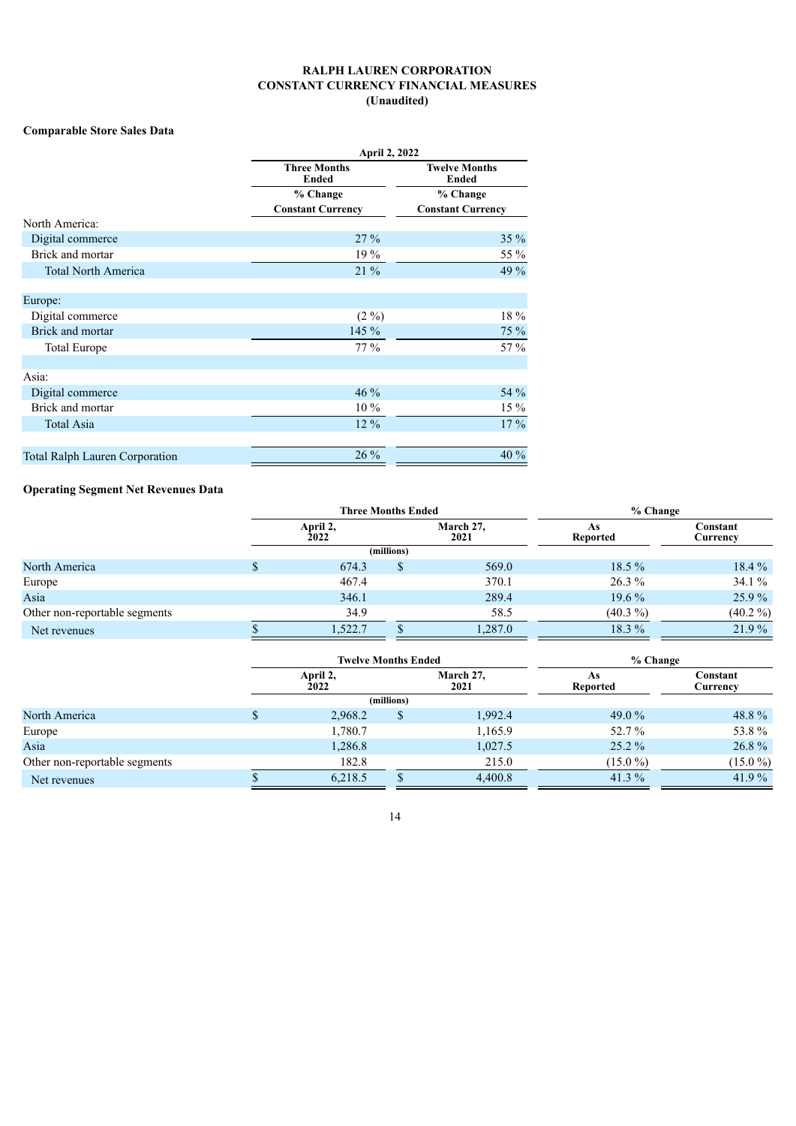### **RALPH LAUREN CORPORATION CONSTANT CURRENCY FINANCIAL MEASURES (Unaudited)**

### **Comparable Store Sales Data**

|                                       | <b>April 2, 2022</b>                |                               |  |  |  |  |  |  |
|---------------------------------------|-------------------------------------|-------------------------------|--|--|--|--|--|--|
|                                       | <b>Three Months</b><br><b>Ended</b> | <b>Twelve Months</b><br>Ended |  |  |  |  |  |  |
|                                       | % Change                            | % Change                      |  |  |  |  |  |  |
|                                       | <b>Constant Currency</b>            | <b>Constant Currency</b>      |  |  |  |  |  |  |
| North America:                        |                                     |                               |  |  |  |  |  |  |
| Digital commerce                      | 27%                                 | $35\%$                        |  |  |  |  |  |  |
| Brick and mortar                      | 19 %                                | 55 %                          |  |  |  |  |  |  |
| <b>Total North America</b>            | $21\%$                              | 49 %                          |  |  |  |  |  |  |
| Europe:                               |                                     |                               |  |  |  |  |  |  |
| Digital commerce                      | $(2\%)$                             | 18 %                          |  |  |  |  |  |  |
| Brick and mortar                      | 145 %                               | 75 %                          |  |  |  |  |  |  |
| Total Europe                          | 77 %                                | $57\%$                        |  |  |  |  |  |  |
| Asia:                                 |                                     |                               |  |  |  |  |  |  |
| Digital commerce                      | 46 %                                | 54 %                          |  |  |  |  |  |  |
| Brick and mortar                      | $10\%$                              | 15 %                          |  |  |  |  |  |  |
| <b>Total Asia</b>                     | 12 %                                | $17\%$                        |  |  |  |  |  |  |
| <b>Total Ralph Lauren Corporation</b> | $26\%$                              | 40 %                          |  |  |  |  |  |  |

# **Operating Segment Net Revenues Data**

|                               | <b>Three Months Ended</b> |            |                   | % Change       |                      |  |  |  |  |  |
|-------------------------------|---------------------------|------------|-------------------|----------------|----------------------|--|--|--|--|--|
|                               | April 2,<br><b>2022</b>   |            | March 27,<br>2021 | As<br>Reported | Constant<br>Currency |  |  |  |  |  |
|                               |                           | (millions) |                   |                |                      |  |  |  |  |  |
| North America                 | 674.3                     |            | 569.0             | $18.5\%$       | $18.4\%$             |  |  |  |  |  |
| Europe                        | 467.4                     |            | 370.1             | $26.3\%$       | 34.1%                |  |  |  |  |  |
| Asia                          | 346.1                     |            | 289.4             | $19.6\%$       | $25.9\%$             |  |  |  |  |  |
| Other non-reportable segments | 34.9                      |            | 58.5              | $(40.3\% )$    | $(40.2\% )$          |  |  |  |  |  |
| Net revenues                  | 1,522.7                   |            | 1,287.0           | 18.3 %         | 21.9%                |  |  |  |  |  |

|                               | <b>Twelve Months Ended</b> |            |                   | % Change              |                      |  |  |  |  |
|-------------------------------|----------------------------|------------|-------------------|-----------------------|----------------------|--|--|--|--|
|                               | April 2,<br>2022           |            | March 27,<br>2021 | As<br><b>Reported</b> | Constant<br>Currency |  |  |  |  |
|                               |                            | (millions) |                   |                       |                      |  |  |  |  |
| North America                 | 2,968.2                    |            | 1,992.4           | 49.0 $%$              | 48.8%                |  |  |  |  |
| Europe                        | 1,780.7                    |            | 1,165.9           | 52.7%                 | 53.8%                |  |  |  |  |
| Asia                          | 1,286.8                    |            | 1,027.5           | $25.2\%$              | 26.8%                |  |  |  |  |
| Other non-reportable segments | 182.8                      |            | 215.0             | $(15.0\%)$            | $(15.0\%)$           |  |  |  |  |
| Net revenues                  | 6,218.5                    |            | 4,400.8           | 41.3 $%$              | 41.9%                |  |  |  |  |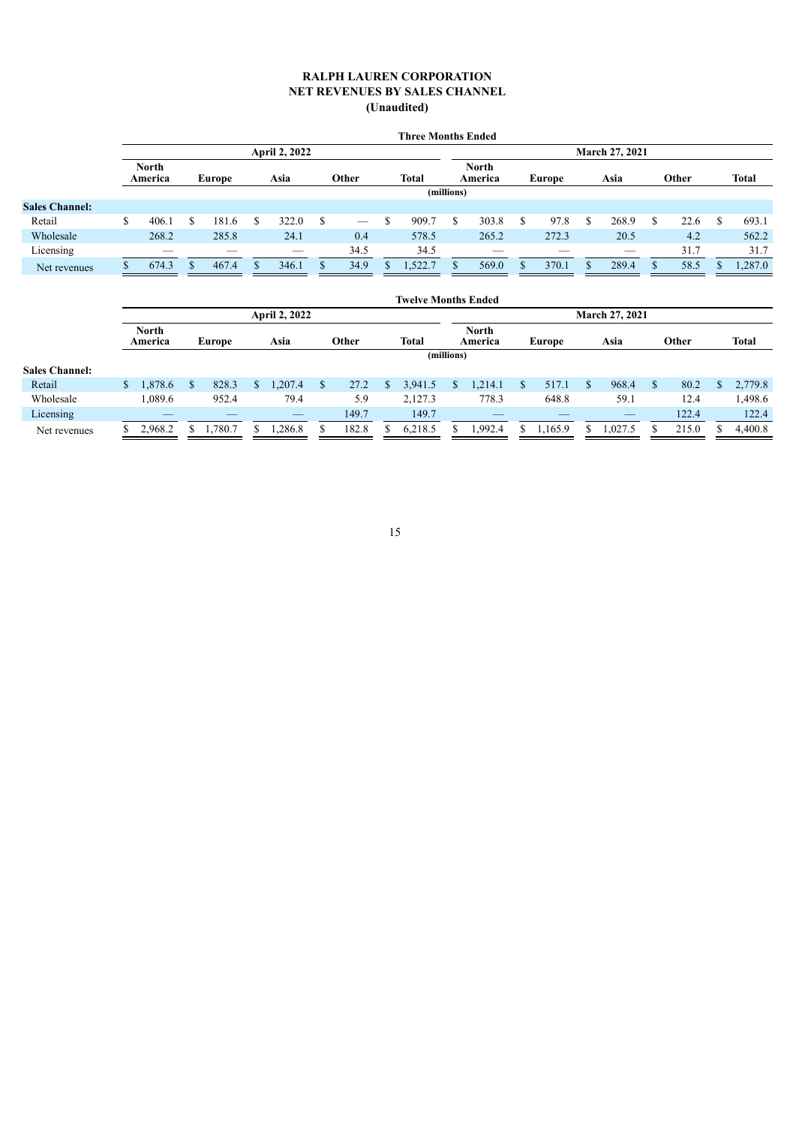#### **RALPH LAUREN CORPORATION NET REVENUES BY SALES CHANNEL (Unaudited)**

|                         | <b>April 2, 2022</b> |   |       |               |       |            |      |              |                         | <b>March 27, 2021</b> |       |                           |       |      |                          |       |      |              |         |
|-------------------------|----------------------|---|-------|---------------|-------|------------|------|--------------|-------------------------|-----------------------|-------|---------------------------|-------|------|--------------------------|-------|------|--------------|---------|
| <b>North</b><br>America |                      |   |       | Asia          | Other |            |      | <b>Total</b> | <b>North</b><br>America |                       |       | Europe                    |       | Asia |                          | Other |      | <b>Total</b> |         |
|                         |                      |   |       |               |       | (millions) |      |              |                         |                       |       |                           |       |      |                          |       |      |              |         |
|                         |                      |   |       |               |       |            |      |              |                         |                       |       |                           |       |      |                          |       |      |              |         |
| S                       | 406.1                | S | 181.6 |               | 322.0 | S          |      |              | 909.7                   | S                     | 303.8 |                           | 97.8  | -S   | 268.9                    |       | 22.6 |              | 693.1   |
|                         | 268.2                |   | 285.8 |               | 24.1  |            | 0.4  |              | 578.5                   |                       | 265.2 |                           | 272.3 |      | 20.5                     |       | 4.2  |              | 562.2   |
|                         |                      |   |       |               | $-$   |            | 34.5 |              | 34.5                    |                       |       |                           |       |      | $\overline{\phantom{a}}$ |       | 31.7 |              | 31.7    |
|                         | 674.3                |   | 467.4 |               | 346.1 |            | 34.9 |              | .522.7                  |                       | 569.0 |                           | 370.1 |      | 289.4                    |       | 58.5 |              | 1,287.0 |
|                         |                      |   |       | <b>Europe</b> |       |            |      |              |                         |                       |       | <b>Three Months Ended</b> |       |      |                          |       |      |              |         |

|                       |                         |               |             |                       |  | <b>Twelve Months Ended</b> |  |                         |                       |         |  |                          |     |       |  |              |
|-----------------------|-------------------------|---------------|-------------|-----------------------|--|----------------------------|--|-------------------------|-----------------------|---------|--|--------------------------|-----|-------|--|--------------|
|                       | <b>April 2, 2022</b>    |               |             |                       |  |                            |  |                         | <b>March 27, 2021</b> |         |  |                          |     |       |  |              |
|                       | <b>North</b><br>America | <b>Europe</b> | Asia        | Other                 |  | <b>Total</b>               |  | <b>North</b><br>America |                       | Europe  |  | Asia                     |     | Other |  | <b>Total</b> |
|                       | (millions)              |               |             |                       |  |                            |  |                         |                       |         |  |                          |     |       |  |              |
| <b>Sales Channel:</b> |                         |               |             |                       |  |                            |  |                         |                       |         |  |                          |     |       |  |              |
| Retail                | 1,878.6<br>\$           | 828.3<br>\$.  | .207.4<br>S | 27.2<br><sup>\$</sup> |  | 3,941.5                    |  | 1,214.1                 |                       | 517.1   |  | 968.4                    | \$. | 80.2  |  | 2,779.8      |
| Wholesale             | 1,089.6                 | 952.4         | 79.4        | 5.9                   |  | 2,127.3                    |  | 778.3                   |                       | 648.8   |  | 59.1                     |     | 12.4  |  | 1,498.6      |
| Licensing             |                         |               |             | 149.7                 |  | 149.7                      |  | __                      |                       |         |  | $\overline{\phantom{m}}$ |     | 122.4 |  | 122.4        |
| Net revenues          | 2,968.2                 | ,780.7        | .286.8      | 182.8                 |  | 6,218.5                    |  | 1,992.4                 |                       | 1,165.9 |  | .027.5                   |     | 215.0 |  | 4,400.8      |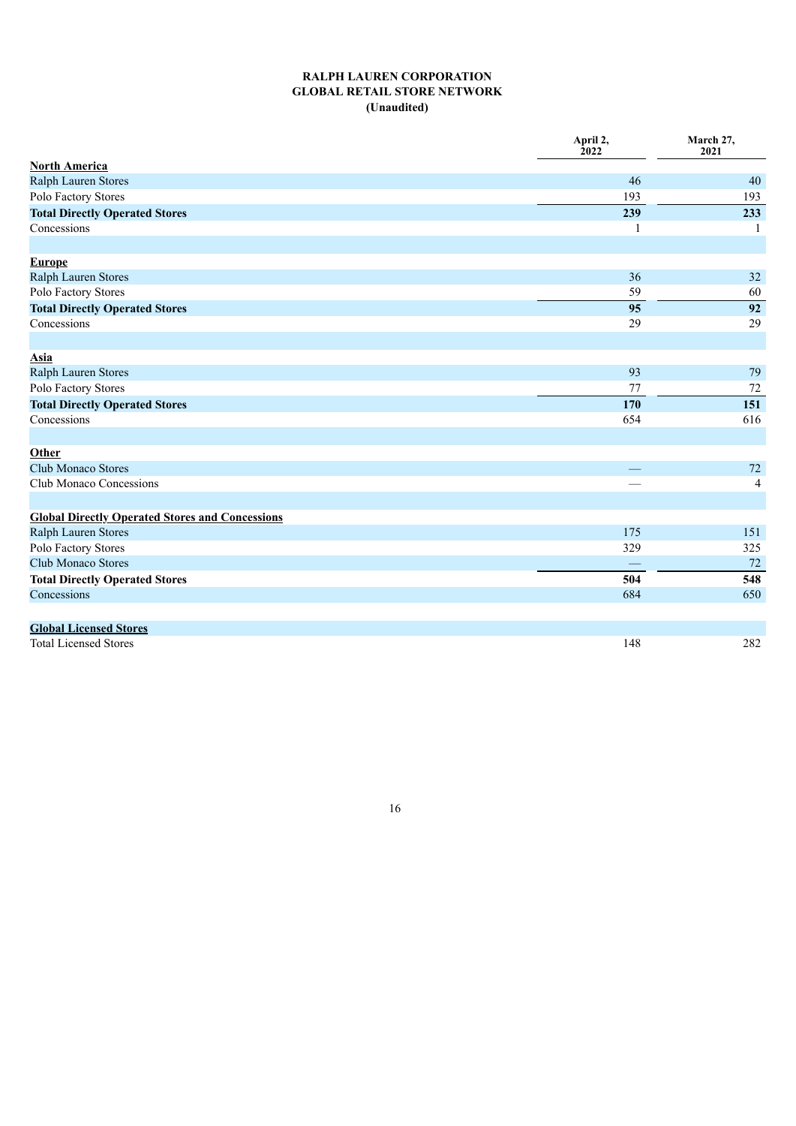# **RALPH LAUREN CORPORATION GLOBAL RETAIL STORE NETWORK (Unaudited)**

|                                                        | April 2,<br>2022 | March 27,<br>2021 |
|--------------------------------------------------------|------------------|-------------------|
| <b>North America</b>                                   |                  |                   |
| Ralph Lauren Stores                                    | 46               | 40                |
| Polo Factory Stores                                    | 193              | 193               |
| <b>Total Directly Operated Stores</b>                  | 239              | 233               |
| Concessions                                            |                  |                   |
| <b>Europe</b>                                          |                  |                   |
| Ralph Lauren Stores                                    | 36               | 32                |
| Polo Factory Stores                                    | 59               | 60                |
| <b>Total Directly Operated Stores</b>                  | 95               | 92                |
| Concessions                                            | 29               | 29                |
| Asia                                                   |                  |                   |
| Ralph Lauren Stores                                    | 93               | 79                |
| Polo Factory Stores                                    | 77               | $72\,$            |
| <b>Total Directly Operated Stores</b>                  | 170              | 151               |
| Concessions                                            | 654              | 616               |
| Other                                                  |                  |                   |
| <b>Club Monaco Stores</b>                              |                  | 72                |
| <b>Club Monaco Concessions</b>                         |                  | 4                 |
| <b>Global Directly Operated Stores and Concessions</b> |                  |                   |
| Ralph Lauren Stores                                    | 175              | 151               |
| Polo Factory Stores                                    | 329              | 325               |
| Club Monaco Stores                                     |                  | 72                |
| <b>Total Directly Operated Stores</b>                  | 504              | 548               |
| Concessions                                            | 684              | 650               |
| <b>Global Licensed Stores</b>                          |                  |                   |
| <b>Total Licensed Stores</b>                           | 148              | 282               |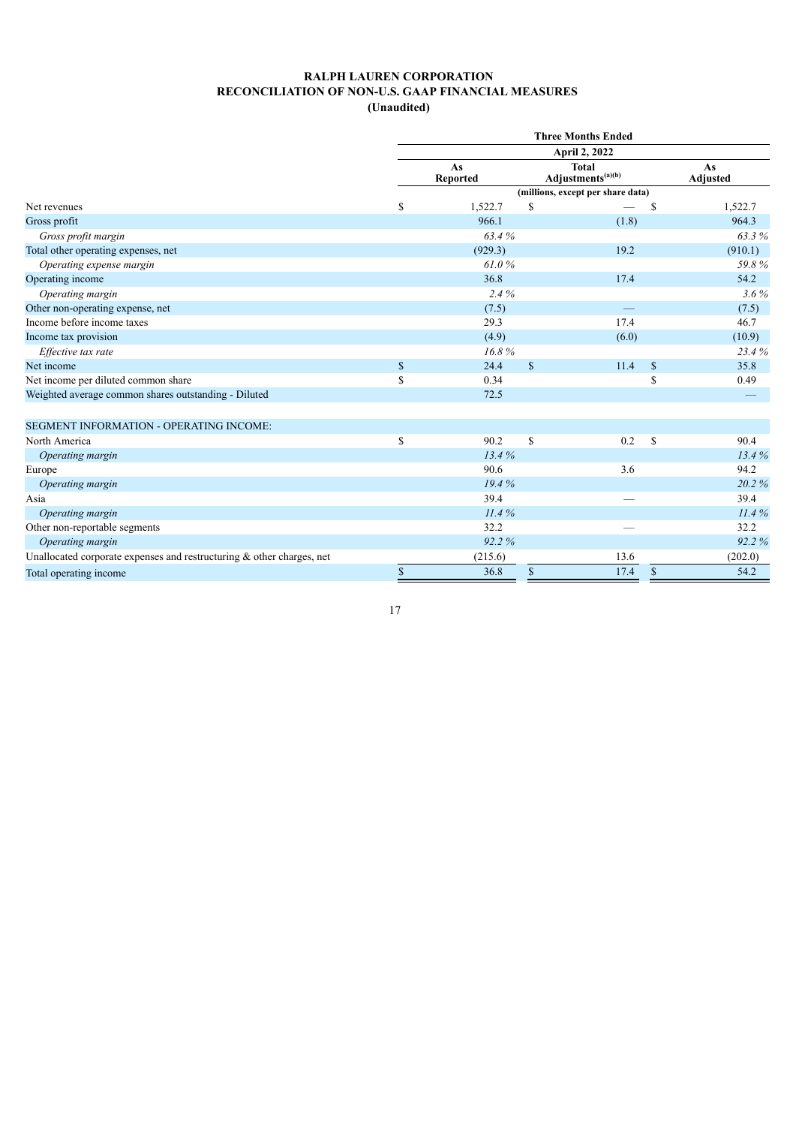|                                                                          |              |                       |               | <b>Three Months Ended</b>                     |              |                       |
|--------------------------------------------------------------------------|--------------|-----------------------|---------------|-----------------------------------------------|--------------|-----------------------|
|                                                                          |              |                       |               | <b>April 2, 2022</b>                          |              |                       |
|                                                                          |              | As<br><b>Reported</b> |               | <b>Total</b><br>Adjustments <sup>(a)(b)</sup> |              | As<br><b>Adjusted</b> |
|                                                                          |              |                       |               | (millions, except per share data)             |              |                       |
| Net revenues                                                             | $\mathbf S$  | 1,522.7               | <sup>\$</sup> |                                               | S            | 1,522.7               |
| Gross profit                                                             |              | 966.1                 |               | (1.8)                                         |              | 964.3                 |
| Gross profit margin                                                      |              | 63.4%                 |               |                                               |              | 63.3%                 |
| Total other operating expenses, net                                      |              | (929.3)               |               | 19.2                                          |              | (910.1)               |
| Operating expense margin                                                 |              | 61.0%                 |               |                                               |              | 59.8%                 |
| Operating income                                                         |              | 36.8                  |               | 17.4                                          |              | 54.2                  |
| Operating margin                                                         |              | 2.4%                  |               |                                               |              | $3.6\%$               |
| Other non-operating expense, net                                         |              | (7.5)                 |               |                                               |              | (7.5)                 |
| Income before income taxes                                               |              | 29.3                  |               | 17.4                                          |              | 46.7                  |
| Income tax provision                                                     |              | (4.9)                 |               | (6.0)                                         |              | (10.9)                |
| Effective tax rate                                                       |              | 16.8%                 |               |                                               |              | 23.4%                 |
| Net income                                                               | $\mathbb{S}$ | 24.4                  | $\mathbb{S}$  | 11.4                                          | $\mathbb{S}$ | 35.8                  |
| Net income per diluted common share                                      | \$           | 0.34                  |               |                                               | \$           | 0.49                  |
| Weighted average common shares outstanding - Diluted                     |              | 72.5                  |               |                                               |              |                       |
| <b>SEGMENT INFORMATION - OPERATING INCOME:</b>                           |              |                       |               |                                               |              |                       |
| North America                                                            | \$           | 90.2                  | $\mathbf S$   | 0.2                                           | $\mathbb{S}$ | 90.4                  |
| Operating margin                                                         |              | 13.4%                 |               |                                               |              | 13.4%                 |
| Europe                                                                   |              | 90.6                  |               | 3.6                                           |              | 94.2                  |
| Operating margin                                                         |              | 19.4%                 |               |                                               |              | 20.2%                 |
| Asia                                                                     |              | 39.4                  |               |                                               |              | 39.4                  |
| Operating margin                                                         |              | 11.4%                 |               |                                               |              | 11.4%                 |
| Other non-reportable segments                                            |              | 32.2                  |               |                                               |              | 32.2                  |
| Operating margin                                                         |              | 92.2%                 |               |                                               |              | 92.2%                 |
| Unallocated corporate expenses and restructuring $\&$ other charges, net |              | (215.6)               |               | 13.6                                          |              | (202.0)               |
| Total operating income                                                   | $\mathbb{S}$ | 36.8                  | \$            | 17.4                                          | $\mathbb{S}$ | 54.2                  |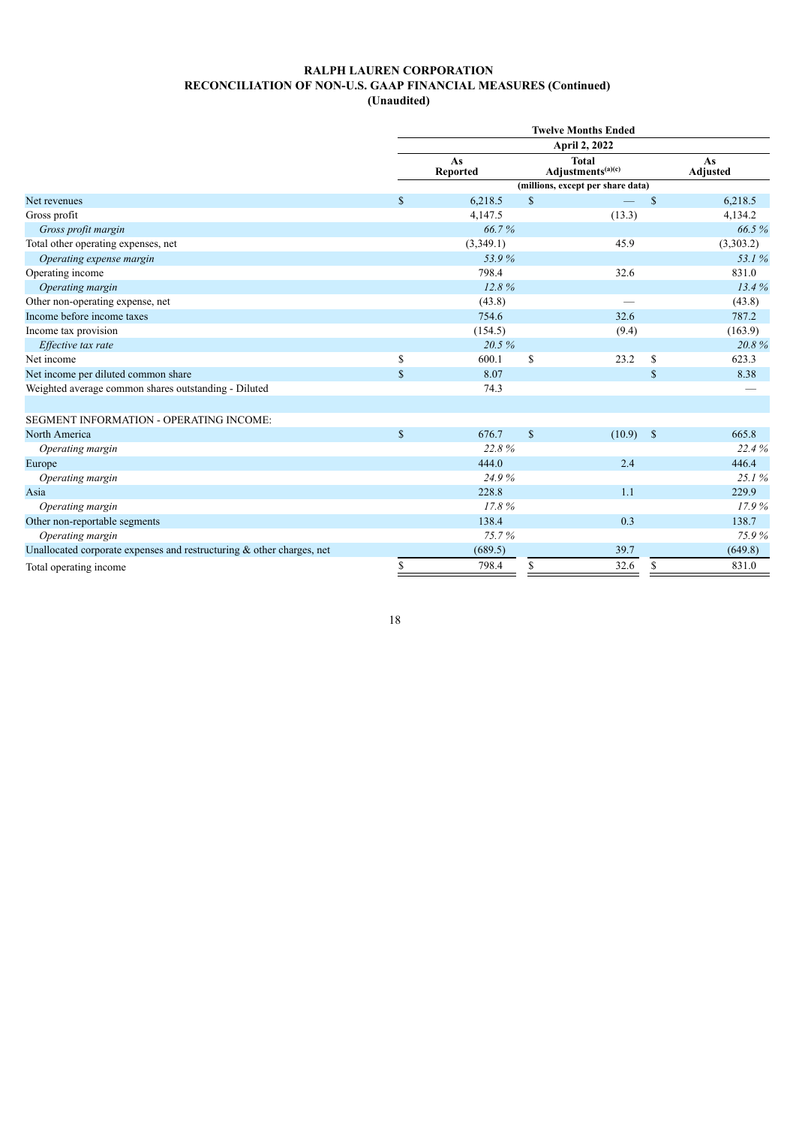**(Unaudited)**

|                                                                          |              |                       |               | <b>Twelve Months Ended</b>                    |              |                       |
|--------------------------------------------------------------------------|--------------|-----------------------|---------------|-----------------------------------------------|--------------|-----------------------|
|                                                                          |              |                       |               | <b>April 2, 2022</b>                          |              |                       |
|                                                                          |              | As<br><b>Reported</b> |               | <b>Total</b><br>Adjustments <sup>(a)(c)</sup> |              | As<br><b>Adjusted</b> |
|                                                                          |              |                       |               | (millions, except per share data)             |              |                       |
| Net revenues                                                             | $\mathbf S$  | 6,218.5               | $\mathbb{S}$  |                                               | $\mathbb{S}$ | 6,218.5               |
| Gross profit                                                             |              | 4,147.5               |               | (13.3)                                        |              | 4,134.2               |
| Gross profit margin                                                      |              | 66.7%                 |               |                                               |              | 66.5%                 |
| Total other operating expenses, net                                      |              | (3,349.1)             |               | 45.9                                          |              | (3,303.2)             |
| Operating expense margin                                                 |              | 53.9%                 |               |                                               |              | 53.1%                 |
| Operating income                                                         |              | 798.4                 |               | 32.6                                          |              | 831.0                 |
| Operating margin                                                         |              | 12.8%                 |               |                                               |              | 13.4%                 |
| Other non-operating expense, net                                         |              | (43.8)                |               |                                               |              | (43.8)                |
| Income before income taxes                                               |              | 754.6                 |               | 32.6                                          |              | 787.2                 |
| Income tax provision                                                     |              | (154.5)               |               | (9.4)                                         |              | (163.9)               |
| Effective tax rate                                                       |              | 20.5%                 |               |                                               |              | 20.8%                 |
| Net income                                                               | \$           | 600.1                 | S             | 23.2                                          | \$           | 623.3                 |
| Net income per diluted common share                                      | $\mathbf S$  | 8.07                  |               |                                               | $\mathbb{S}$ | 8.38                  |
| Weighted average common shares outstanding - Diluted                     |              | 74.3                  |               |                                               |              |                       |
| SEGMENT INFORMATION - OPERATING INCOME:                                  |              |                       |               |                                               |              |                       |
| North America                                                            | $\mathbb{S}$ | 676.7                 | $\mathsf{\$}$ | (10.9)                                        | $\mathbb{S}$ | 665.8                 |
| Operating margin                                                         |              | 22.8%                 |               |                                               |              | 22.4%                 |
| Europe                                                                   |              | 444.0                 |               | 2.4                                           |              | 446.4                 |
| Operating margin                                                         |              | 24.9%                 |               |                                               |              | 25.1%                 |
| Asia                                                                     |              | 228.8                 |               | 1.1                                           |              | 229.9                 |
| Operating margin                                                         |              | 17.8%                 |               |                                               |              | 17.9%                 |
| Other non-reportable segments                                            |              | 138.4                 |               | 0.3                                           |              | 138.7                 |
| Operating margin                                                         |              | 75.7%                 |               |                                               |              | 75.9%                 |
| Unallocated corporate expenses and restructuring $\&$ other charges, net |              | (689.5)               |               | 39.7                                          |              | (649.8)               |
| Total operating income                                                   | \$           | 798.4                 | \$            | 32.6                                          | \$           | 831.0                 |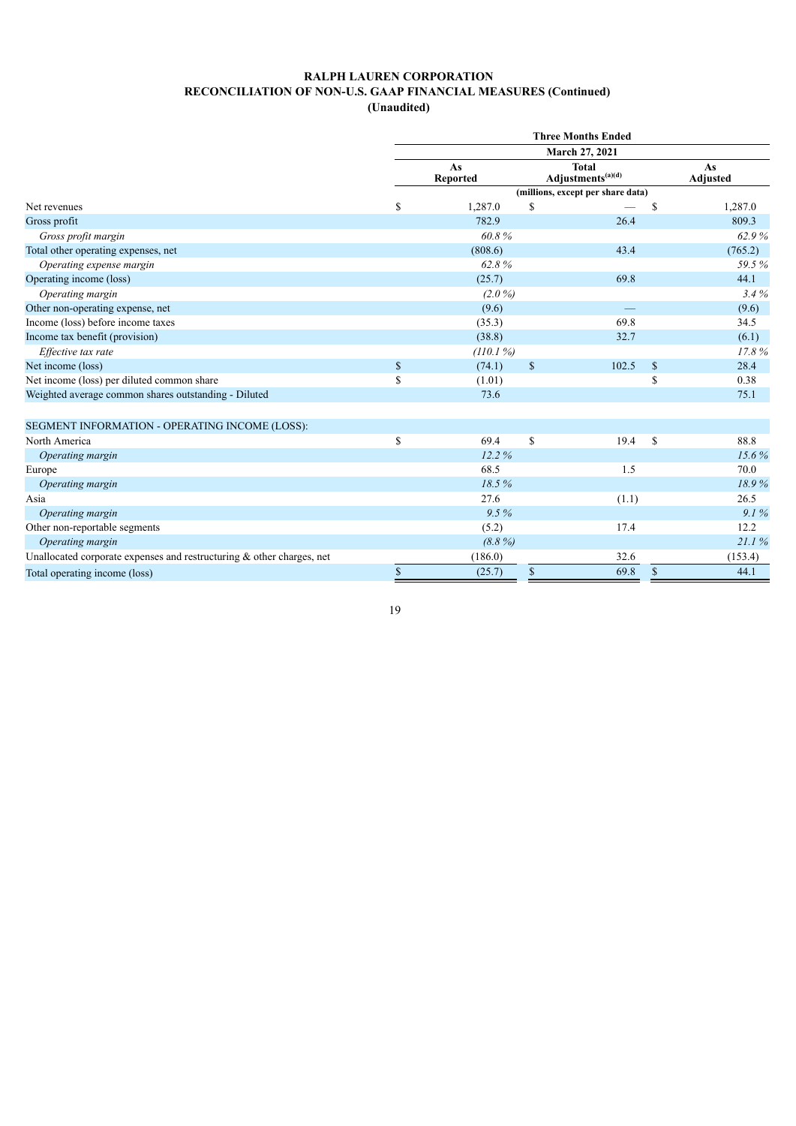| (Unaudited) |
|-------------|
|-------------|

|                                                                          |              |                       |              | <b>Three Months Ended</b>                     |               |                |
|--------------------------------------------------------------------------|--------------|-----------------------|--------------|-----------------------------------------------|---------------|----------------|
|                                                                          |              |                       |              | March 27, 2021                                |               |                |
|                                                                          |              | As<br><b>Reported</b> |              | <b>Total</b><br>Adjustments <sup>(a)(d)</sup> |               | As<br>Adjusted |
|                                                                          |              |                       |              | (millions, except per share data)             |               |                |
| Net revenues                                                             | $\mathbb{S}$ | 1,287.0               | S            |                                               | S             | 1,287.0        |
| Gross profit                                                             |              | 782.9                 |              | 26.4                                          |               | 809.3          |
| Gross profit margin                                                      |              | 60.8%                 |              |                                               |               | 62.9%          |
| Total other operating expenses, net                                      |              | (808.6)               |              | 43.4                                          |               | (765.2)        |
| Operating expense margin                                                 |              | 62.8%                 |              |                                               |               | 59.5%          |
| Operating income (loss)                                                  |              | (25.7)                |              | 69.8                                          |               | 44.1           |
| Operating margin                                                         |              | $(2.0\%)$             |              |                                               |               | 3.4%           |
| Other non-operating expense, net                                         |              | (9.6)                 |              |                                               |               | (9.6)          |
| Income (loss) before income taxes                                        |              | (35.3)                |              | 69.8                                          |               | 34.5           |
| Income tax benefit (provision)                                           |              | (38.8)                |              | 32.7                                          |               | (6.1)          |
| Effective tax rate                                                       |              | (110.1%)              |              |                                               |               | 17.8%          |
| Net income (loss)                                                        | $\mathbb{S}$ | (74.1)                | $\mathbb{S}$ | 102.5                                         | <sup>S</sup>  | 28.4           |
| Net income (loss) per diluted common share                               | \$           | (1.01)                |              |                                               | \$            | 0.38           |
| Weighted average common shares outstanding - Diluted                     |              | 73.6                  |              |                                               |               | 75.1           |
| SEGMENT INFORMATION - OPERATING INCOME (LOSS):                           |              |                       |              |                                               |               |                |
| North America                                                            | \$           | 69.4                  | \$           | 19.4                                          | <sup>\$</sup> | 88.8           |
| Operating margin                                                         |              | 12.2%                 |              |                                               |               | 15.6%          |
| Europe                                                                   |              | 68.5                  |              | 1.5                                           |               | 70.0           |
| Operating margin                                                         |              | 18.5%                 |              |                                               |               | 18.9%          |
| Asia                                                                     |              | 27.6                  |              | (1.1)                                         |               | 26.5           |
| Operating margin                                                         |              | 9.5%                  |              |                                               |               | 9.1%           |
| Other non-reportable segments                                            |              | (5.2)                 |              | 17.4                                          |               | 12.2           |
| Operating margin                                                         |              | $(8.8\%)$             |              |                                               |               | 21.1%          |
| Unallocated corporate expenses and restructuring $\&$ other charges, net |              | (186.0)               |              | 32.6                                          |               | (153.4)        |
| Total operating income (loss)                                            | $\mathbb{S}$ | (25.7)                | \$           | 69.8                                          | $\mathbb{S}$  | 44.1           |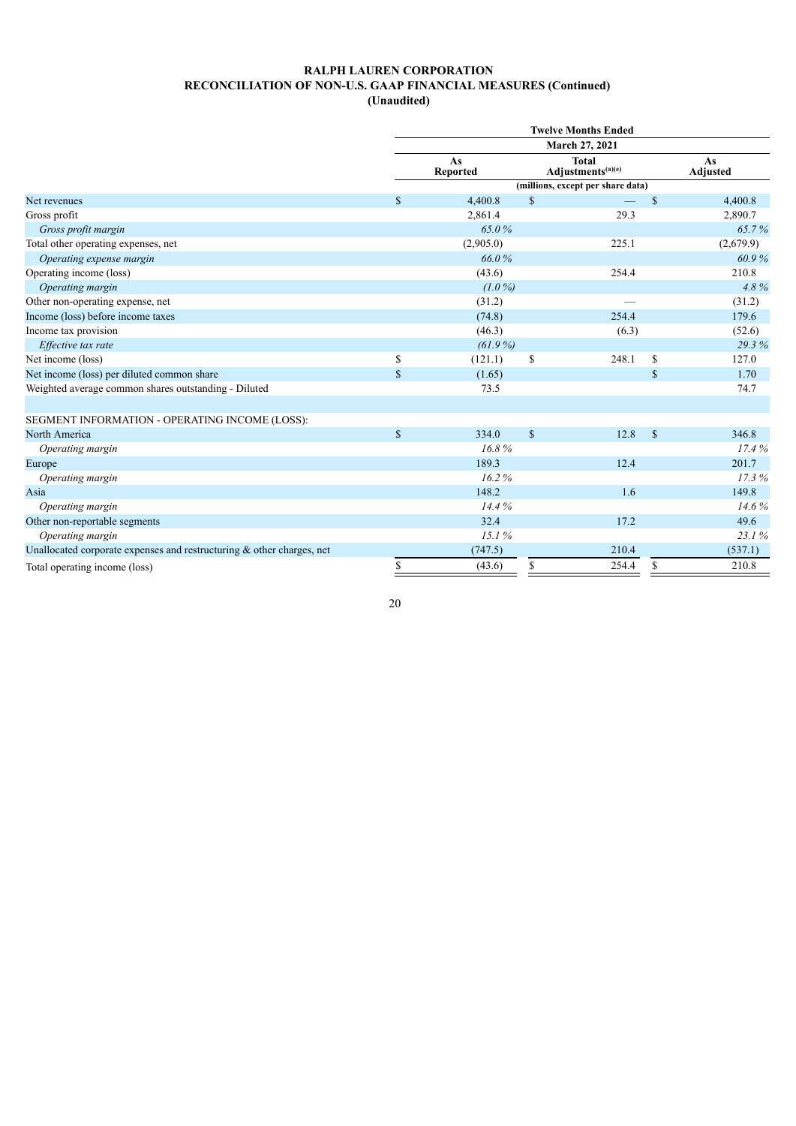**(Unaudited)**

|                                                                          |              |                       |               | <b>Twelve Months Ended</b>                    |             |                       |
|--------------------------------------------------------------------------|--------------|-----------------------|---------------|-----------------------------------------------|-------------|-----------------------|
|                                                                          |              |                       |               | March 27, 2021                                |             |                       |
|                                                                          |              | As<br><b>Reported</b> |               | <b>Total</b><br>Adjustments <sup>(a)(e)</sup> |             | As<br><b>Adjusted</b> |
|                                                                          |              |                       |               | (millions, except per share data)             |             |                       |
| Net revenues                                                             | $\mathbb{S}$ | 4,400.8               | $\mathcal{S}$ |                                               | \$          | 4,400.8               |
| Gross profit                                                             |              | 2,861.4               |               | 29.3                                          |             | 2,890.7               |
| Gross profit margin                                                      |              | 65.0%                 |               |                                               |             | 65.7%                 |
| Total other operating expenses, net                                      |              | (2,905.0)             |               | 225.1                                         |             | (2,679.9)             |
| Operating expense margin                                                 |              | 66.0%                 |               |                                               |             | 60.9%                 |
| Operating income (loss)                                                  |              | (43.6)                |               | 254.4                                         |             | 210.8                 |
| Operating margin                                                         |              | $(1.0\%)$             |               |                                               |             | 4.8%                  |
| Other non-operating expense, net                                         |              | (31.2)                |               |                                               |             | (31.2)                |
| Income (loss) before income taxes                                        |              | (74.8)                |               | 254.4                                         |             | 179.6                 |
| Income tax provision                                                     |              | (46.3)                |               | (6.3)                                         |             | (52.6)                |
| Effective tax rate                                                       |              | $(61.9\%)$            |               |                                               |             | 29.3%                 |
| Net income (loss)                                                        | \$           | (121.1)               | <sup>\$</sup> | 248.1                                         | \$          | 127.0                 |
| Net income (loss) per diluted common share                               | $\mathbf S$  | (1.65)                |               |                                               | $\mathbf S$ | 1.70                  |
| Weighted average common shares outstanding - Diluted                     |              | 73.5                  |               |                                               |             | 74.7                  |
|                                                                          |              |                       |               |                                               |             |                       |
| SEGMENT INFORMATION - OPERATING INCOME (LOSS):                           |              |                       |               |                                               |             |                       |
| North America                                                            | $\mathbb{S}$ | 334.0                 | $\mathbf S$   | 12.8                                          | $\mathbf S$ | 346.8                 |
| Operating margin                                                         |              | 16.8%                 |               |                                               |             | 17.4%                 |
| Europe                                                                   |              | 189.3                 |               | 12.4                                          |             | 201.7                 |
| Operating margin                                                         |              | 16.2%                 |               |                                               |             | 17.3%                 |
| Asia                                                                     |              | 148.2                 |               | 1.6                                           |             | 149.8                 |
| Operating margin                                                         |              | 14.4%                 |               |                                               |             | 14.6%                 |
| Other non-reportable segments                                            |              | 32.4                  |               | 17.2                                          |             | 49.6                  |
| Operating margin                                                         |              | 15.1%                 |               |                                               |             | 23.1%                 |
| Unallocated corporate expenses and restructuring $\&$ other charges, net |              | (747.5)               |               | 210.4                                         |             | (537.1)               |
| Total operating income (loss)                                            | \$           | (43.6)                | S             | 254.4                                         | \$          | 210.8                 |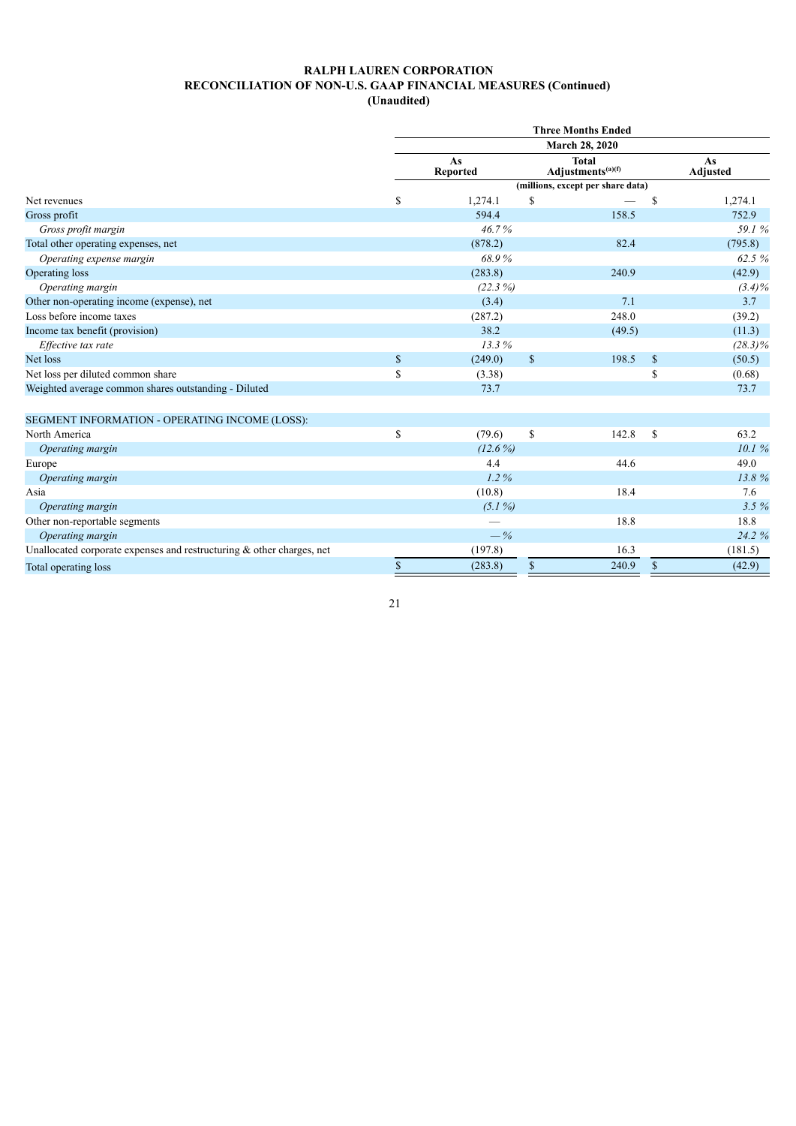**(Unaudited)**

|                                                                          |              |                       |              | <b>Three Months Ended</b>                     |              |                       |
|--------------------------------------------------------------------------|--------------|-----------------------|--------------|-----------------------------------------------|--------------|-----------------------|
|                                                                          |              |                       |              | March 28, 2020                                |              |                       |
|                                                                          |              | As<br><b>Reported</b> |              | <b>Total</b><br>Adjustments <sup>(a)(f)</sup> |              | As<br><b>Adjusted</b> |
|                                                                          |              |                       |              | (millions, except per share data)             |              |                       |
| Net revenues                                                             | \$           | 1,274.1               | S            |                                               | \$           | 1,274.1               |
| Gross profit                                                             |              | 594.4                 |              | 158.5                                         |              | 752.9                 |
| Gross profit margin                                                      |              | 46.7%                 |              |                                               |              | 59.1%                 |
| Total other operating expenses, net                                      |              | (878.2)               |              | 82.4                                          |              | (795.8)               |
| Operating expense margin                                                 |              | 68.9%                 |              |                                               |              | 62.5%                 |
| Operating loss                                                           |              | (283.8)               |              | 240.9                                         |              | (42.9)                |
| Operating margin                                                         |              | $(22.3\%)$            |              |                                               |              | $(3.4)\%$             |
| Other non-operating income (expense), net                                |              | (3.4)                 |              | 7.1                                           |              | 3.7                   |
| Loss before income taxes                                                 |              | (287.2)               |              | 248.0                                         |              | (39.2)                |
| Income tax benefit (provision)                                           |              | 38.2                  |              | (49.5)                                        |              | (11.3)                |
| Effective tax rate                                                       |              | 13.3%                 |              |                                               |              | $(28.3)\%$            |
| Net loss                                                                 | $\mathbb{S}$ | (249.0)               | $\mathbb{S}$ | 198.5                                         | $\mathbb{S}$ | (50.5)                |
| Net loss per diluted common share                                        | \$           | (3.38)                |              |                                               | \$           | (0.68)                |
| Weighted average common shares outstanding - Diluted                     |              | 73.7                  |              |                                               |              | 73.7                  |
| SEGMENT INFORMATION - OPERATING INCOME (LOSS):                           |              |                       |              |                                               |              |                       |
| North America                                                            | \$           | (79.6)                | \$           | 142.8                                         | \$           | 63.2                  |
| Operating margin                                                         |              | $(12.6\%)$            |              |                                               |              | 10.1%                 |
| Europe                                                                   |              | 4.4                   |              | 44.6                                          |              | 49.0                  |
| Operating margin                                                         |              | $1.2\%$               |              |                                               |              | 13.8%                 |
| Asia                                                                     |              | (10.8)                |              | 18.4                                          |              | 7.6                   |
| Operating margin                                                         |              | $(5.1\%)$             |              |                                               |              | 3.5%                  |
| Other non-reportable segments                                            |              |                       |              | 18.8                                          |              | 18.8                  |
| Operating margin                                                         |              | $-\%$                 |              |                                               |              | 24.2 %                |
| Unallocated corporate expenses and restructuring $\&$ other charges, net |              | (197.8)               |              | 16.3                                          |              | (181.5)               |
| Total operating loss                                                     | \$           | (283.8)               | \$           | 240.9                                         | \$           | (42.9)                |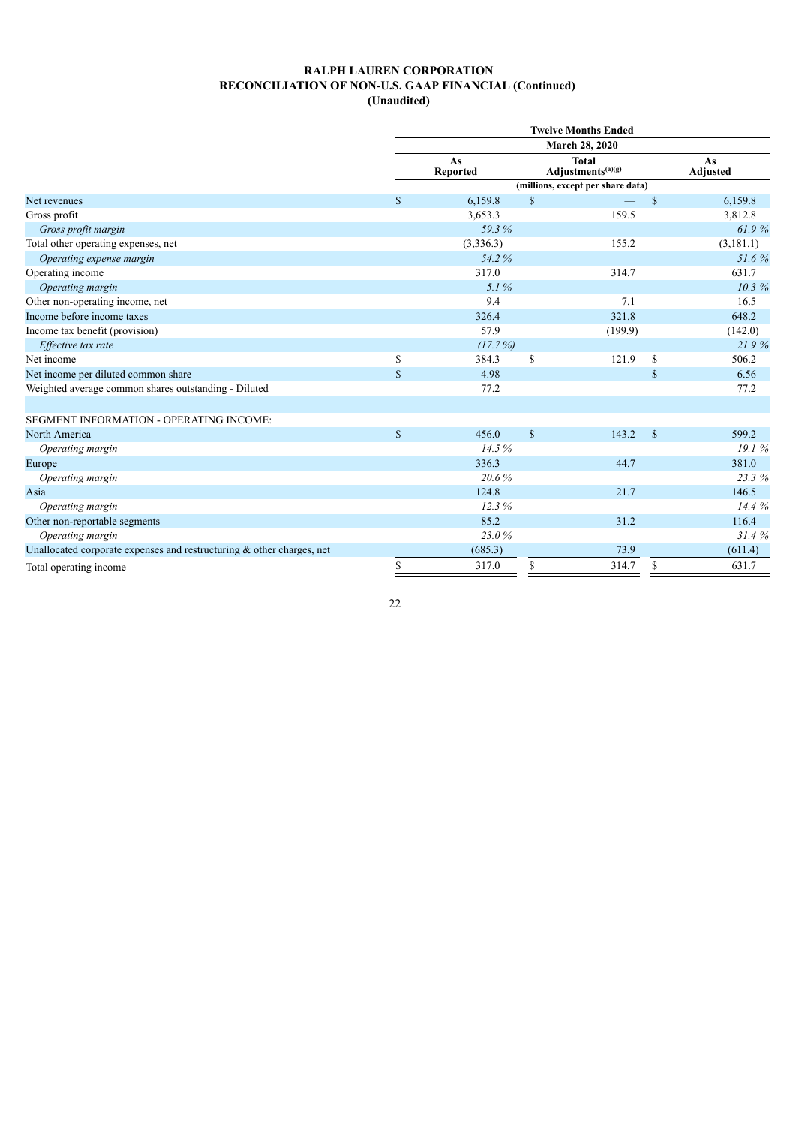**(Unaudited)**

|                                                                          |              |                       |              | <b>Twelve Months Ended</b>                    |              |                       |
|--------------------------------------------------------------------------|--------------|-----------------------|--------------|-----------------------------------------------|--------------|-----------------------|
|                                                                          |              |                       |              | March 28, 2020                                |              |                       |
|                                                                          |              | As<br><b>Reported</b> |              | <b>Total</b><br>Adjustments <sup>(a)(g)</sup> |              | As<br><b>Adjusted</b> |
|                                                                          |              |                       |              | (millions, except per share data)             |              |                       |
| Net revenues                                                             | $\mathbf S$  | 6,159.8               | $\mathbb{S}$ |                                               | \$           | 6,159.8               |
| Gross profit                                                             |              | 3,653.3               |              | 159.5                                         |              | 3,812.8               |
| Gross profit margin                                                      |              | 59.3%                 |              |                                               |              | 61.9%                 |
| Total other operating expenses, net                                      |              | (3,336.3)             |              | 155.2                                         |              | (3,181.1)             |
| Operating expense margin                                                 |              | 54.2%                 |              |                                               |              | 51.6%                 |
| Operating income                                                         |              | 317.0                 |              | 314.7                                         |              | 631.7                 |
| Operating margin                                                         |              | 5.1%                  |              |                                               |              | 10.3%                 |
| Other non-operating income, net                                          |              | 9.4                   |              | 7.1                                           |              | 16.5                  |
| Income before income taxes                                               |              | 326.4                 |              | 321.8                                         |              | 648.2                 |
| Income tax benefit (provision)                                           |              | 57.9                  |              | (199.9)                                       |              | (142.0)               |
| Effective tax rate                                                       |              | (17.7%)               |              |                                               |              | 21.9%                 |
| Net income                                                               | \$           | 384.3                 | $\mathbf S$  | 121.9                                         | $\mathbf S$  | 506.2                 |
| Net income per diluted common share                                      | $\mathbb{S}$ | 4.98                  |              |                                               | $\mathbb{S}$ | 6.56                  |
| Weighted average common shares outstanding - Diluted                     |              | 77.2                  |              |                                               |              | 77.2                  |
| SEGMENT INFORMATION - OPERATING INCOME:                                  |              |                       |              |                                               |              |                       |
| North America                                                            | $\mathbb{S}$ | 456.0                 | $\mathbf S$  | 143.2                                         | $\mathbb{S}$ | 599.2                 |
| Operating margin                                                         |              | 14.5%                 |              |                                               |              | 19.1%                 |
| Europe                                                                   |              | 336.3                 |              | 44.7                                          |              | 381.0                 |
| Operating margin                                                         |              | 20.6%                 |              |                                               |              | 23.3%                 |
| Asia                                                                     |              | 124.8                 |              | 21.7                                          |              | 146.5                 |
| Operating margin                                                         |              | 12.3%                 |              |                                               |              | 14.4%                 |
| Other non-reportable segments                                            |              | 85.2                  |              | 31.2                                          |              | 116.4                 |
| Operating margin                                                         |              | 23.0%                 |              |                                               |              | 31.4%                 |
| Unallocated corporate expenses and restructuring $\&$ other charges, net |              | (685.3)               |              | 73.9                                          |              | (611.4)               |
| Total operating income                                                   | \$           | 317.0                 | \$           | 314.7                                         | \$           | 631.7                 |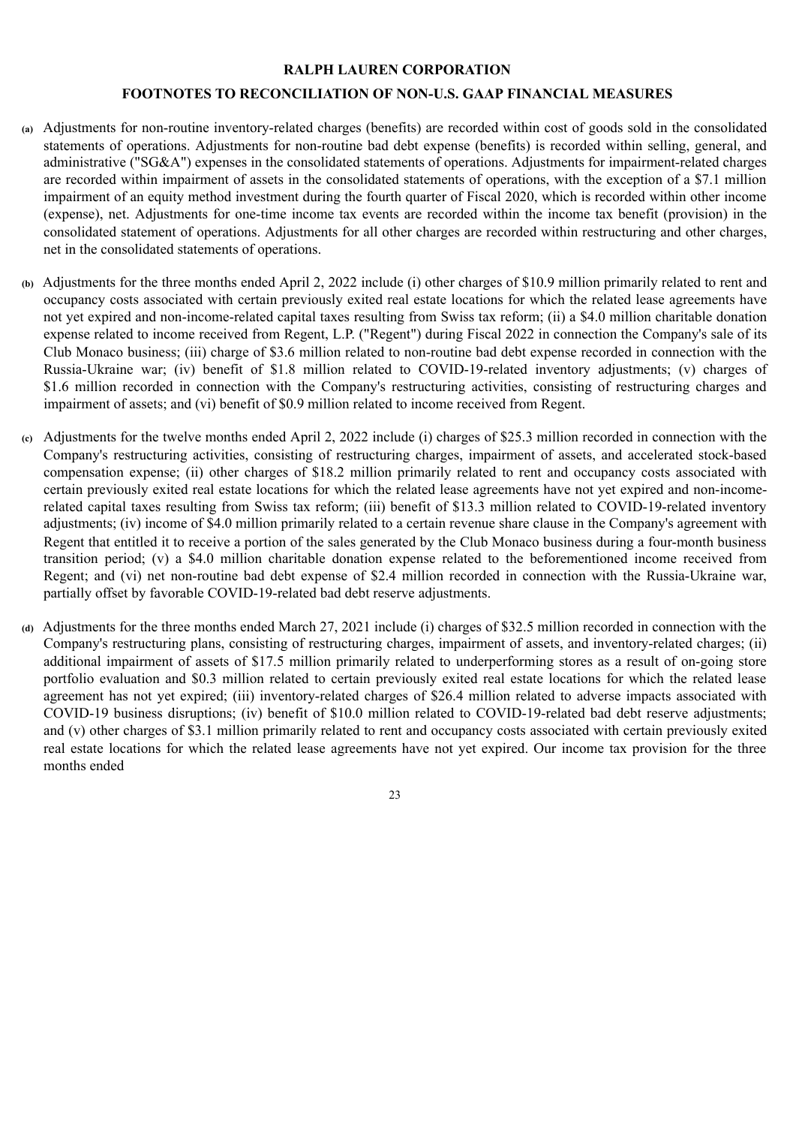# **RALPH LAUREN CORPORATION**

# **FOOTNOTES TO RECONCILIATION OF NON-U.S. GAAP FINANCIAL MEASURES**

- **(a)** Adjustments for non-routine inventory-related charges (benefits) are recorded within cost of goods sold in the consolidated statements of operations. Adjustments for non-routine bad debt expense (benefits) is recorded within selling, general, and administrative ("SG&A") expenses in the consolidated statements of operations. Adjustments for impairment-related charges are recorded within impairment of assets in the consolidated statements of operations, with the exception of a \$7.1 million impairment of an equity method investment during the fourth quarter of Fiscal 2020, which is recorded within other income (expense), net. Adjustments for one-time income tax events are recorded within the income tax benefit (provision) in the consolidated statement of operations. Adjustments for all other charges are recorded within restructuring and other charges, net in the consolidated statements of operations.
- **(b)** Adjustments for the three months ended April 2, 2022 include (i) other charges of \$10.9 million primarily related to rent and occupancy costs associated with certain previously exited real estate locations for which the related lease agreements have not yet expired and non-income-related capital taxes resulting from Swiss tax reform; (ii) a \$4.0 million charitable donation expense related to income received from Regent, L.P. ("Regent") during Fiscal 2022 in connection the Company's sale of its Club Monaco business; (iii) charge of \$3.6 million related to non-routine bad debt expense recorded in connection with the Russia-Ukraine war; (iv) benefit of \$1.8 million related to COVID-19-related inventory adjustments; (v) charges of \$1.6 million recorded in connection with the Company's restructuring activities, consisting of restructuring charges and impairment of assets; and (vi) benefit of \$0.9 million related to income received from Regent.
- **(c)** Adjustments for the twelve months ended April 2, 2022 include (i) charges of \$25.3 million recorded in connection with the Company's restructuring activities, consisting of restructuring charges, impairment of assets, and accelerated stock-based compensation expense; (ii) other charges of \$18.2 million primarily related to rent and occupancy costs associated with certain previously exited real estate locations for which the related lease agreements have not yet expired and non-incomerelated capital taxes resulting from Swiss tax reform; (iii) benefit of \$13.3 million related to COVID-19-related inventory adjustments; (iv) income of \$4.0 million primarily related to a certain revenue share clause in the Company's agreement with Regent that entitled it to receive a portion of the sales generated by the Club Monaco business during a four-month business transition period; (v) a \$4.0 million charitable donation expense related to the beforementioned income received from Regent; and (vi) net non-routine bad debt expense of \$2.4 million recorded in connection with the Russia-Ukraine war, partially offset by favorable COVID-19-related bad debt reserve adjustments.
- **(d)** Adjustments for the three months ended March 27, 2021 include (i) charges of \$32.5 million recorded in connection with the Company's restructuring plans, consisting of restructuring charges, impairment of assets, and inventory-related charges; (ii) additional impairment of assets of \$17.5 million primarily related to underperforming stores as a result of on-going store portfolio evaluation and \$0.3 million related to certain previously exited real estate locations for which the related lease agreement has not yet expired; (iii) inventory-related charges of \$26.4 million related to adverse impacts associated with COVID-19 business disruptions; (iv) benefit of \$10.0 million related to COVID-19-related bad debt reserve adjustments; and (v) other charges of \$3.1 million primarily related to rent and occupancy costs associated with certain previously exited real estate locations for which the related lease agreements have not yet expired. Our income tax provision for the three months ended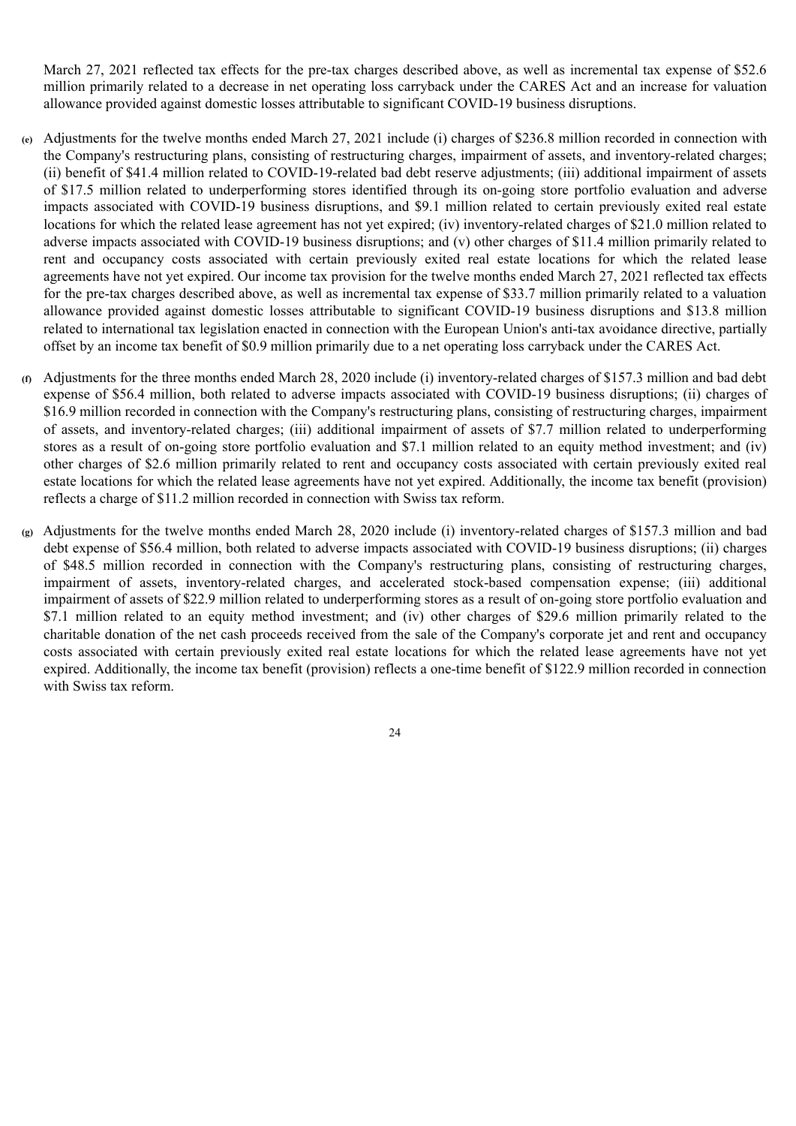March 27, 2021 reflected tax effects for the pre-tax charges described above, as well as incremental tax expense of \$52.6 million primarily related to a decrease in net operating loss carryback under the CARES Act and an increase for valuation allowance provided against domestic losses attributable to significant COVID-19 business disruptions.

- **(e)** Adjustments for the twelve months ended March 27, 2021 include (i) charges of \$236.8 million recorded in connection with the Company's restructuring plans, consisting of restructuring charges, impairment of assets, and inventory-related charges; (ii) benefit of \$41.4 million related to COVID-19-related bad debt reserve adjustments; (iii) additional impairment of assets of \$17.5 million related to underperforming stores identified through its on-going store portfolio evaluation and adverse impacts associated with COVID-19 business disruptions, and \$9.1 million related to certain previously exited real estate locations for which the related lease agreement has not yet expired; (iv) inventory-related charges of \$21.0 million related to adverse impacts associated with COVID-19 business disruptions; and (v) other charges of \$11.4 million primarily related to rent and occupancy costs associated with certain previously exited real estate locations for which the related lease agreements have not yet expired. Our income tax provision for the twelve months ended March 27, 2021 reflected tax effects for the pre-tax charges described above, as well as incremental tax expense of \$33.7 million primarily related to a valuation allowance provided against domestic losses attributable to significant COVID-19 business disruptions and \$13.8 million related to international tax legislation enacted in connection with the European Union's anti-tax avoidance directive, partially offset by an income tax benefit of \$0.9 million primarily due to a net operating loss carryback under the CARES Act.
- **(f)** Adjustments for the three months ended March 28, 2020 include (i) inventory-related charges of \$157.3 million and bad debt expense of \$56.4 million, both related to adverse impacts associated with COVID-19 business disruptions; (ii) charges of \$16.9 million recorded in connection with the Company's restructuring plans, consisting of restructuring charges, impairment of assets, and inventory-related charges; (iii) additional impairment of assets of \$7.7 million related to underperforming stores as a result of on-going store portfolio evaluation and \$7.1 million related to an equity method investment; and (iv) other charges of \$2.6 million primarily related to rent and occupancy costs associated with certain previously exited real estate locations for which the related lease agreements have not yet expired. Additionally, the income tax benefit (provision) reflects a charge of \$11.2 million recorded in connection with Swiss tax reform.
- **(g)** Adjustments for the twelve months ended March 28, 2020 include (i) inventory-related charges of \$157.3 million and bad debt expense of \$56.4 million, both related to adverse impacts associated with COVID-19 business disruptions; (ii) charges of \$48.5 million recorded in connection with the Company's restructuring plans, consisting of restructuring charges, impairment of assets, inventory-related charges, and accelerated stock-based compensation expense; (iii) additional impairment of assets of \$22.9 million related to underperforming stores as a result of on-going store portfolio evaluation and \$7.1 million related to an equity method investment; and (iv) other charges of \$29.6 million primarily related to the charitable donation of the net cash proceeds received from the sale of the Company's corporate jet and rent and occupancy costs associated with certain previously exited real estate locations for which the related lease agreements have not yet expired. Additionally, the income tax benefit (provision) reflects a one-time benefit of \$122.9 million recorded in connection with Swiss tax reform.
	- 24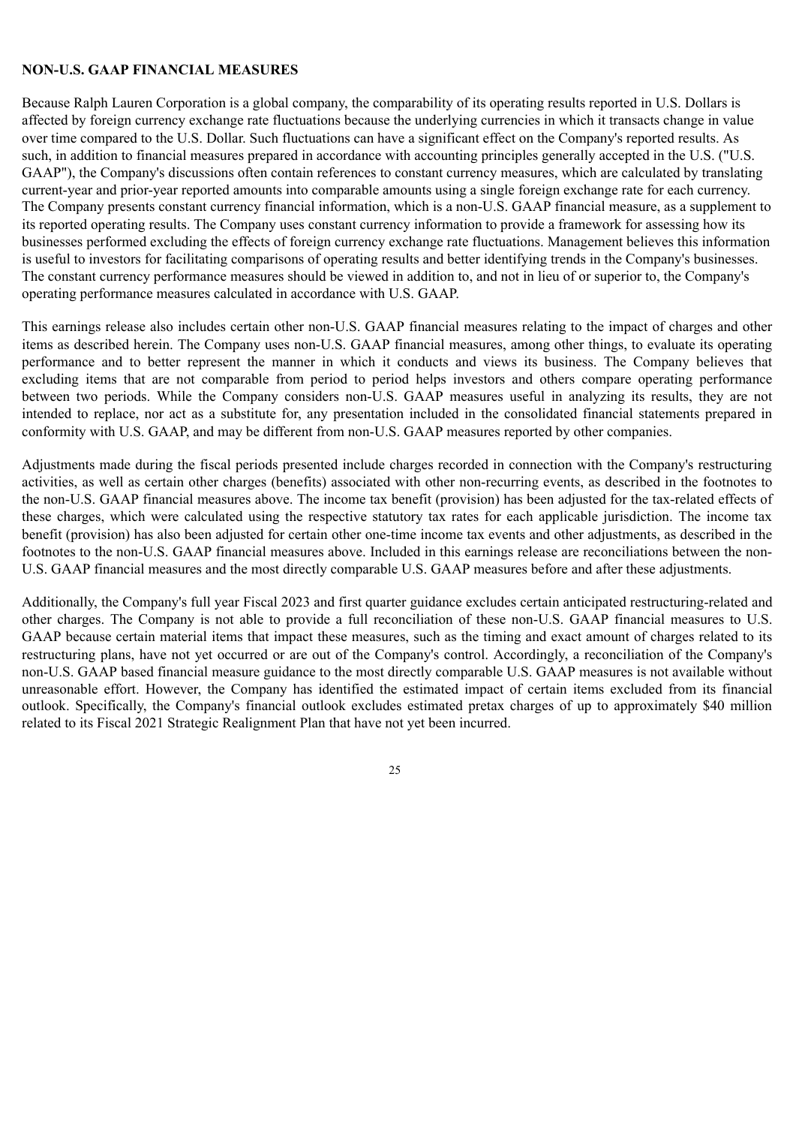# **NON-U.S. GAAP FINANCIAL MEASURES**

Because Ralph Lauren Corporation is a global company, the comparability of its operating results reported in U.S. Dollars is affected by foreign currency exchange rate fluctuations because the underlying currencies in which it transacts change in value over time compared to the U.S. Dollar. Such fluctuations can have a significant effect on the Company's reported results. As such, in addition to financial measures prepared in accordance with accounting principles generally accepted in the U.S. ("U.S. GAAP"), the Company's discussions often contain references to constant currency measures, which are calculated by translating current-year and prior-year reported amounts into comparable amounts using a single foreign exchange rate for each currency. The Company presents constant currency financial information, which is a non-U.S. GAAP financial measure, as a supplement to its reported operating results. The Company uses constant currency information to provide a framework for assessing how its businesses performed excluding the effects of foreign currency exchange rate fluctuations. Management believes this information is useful to investors for facilitating comparisons of operating results and better identifying trends in the Company's businesses. The constant currency performance measures should be viewed in addition to, and not in lieu of or superior to, the Company's operating performance measures calculated in accordance with U.S. GAAP.

This earnings release also includes certain other non-U.S. GAAP financial measures relating to the impact of charges and other items as described herein. The Company uses non-U.S. GAAP financial measures, among other things, to evaluate its operating performance and to better represent the manner in which it conducts and views its business. The Company believes that excluding items that are not comparable from period to period helps investors and others compare operating performance between two periods. While the Company considers non-U.S. GAAP measures useful in analyzing its results, they are not intended to replace, nor act as a substitute for, any presentation included in the consolidated financial statements prepared in conformity with U.S. GAAP, and may be different from non-U.S. GAAP measures reported by other companies.

Adjustments made during the fiscal periods presented include charges recorded in connection with the Company's restructuring activities, as well as certain other charges (benefits) associated with other non-recurring events, as described in the footnotes to the non-U.S. GAAP financial measures above. The income tax benefit (provision) has been adjusted for the tax-related effects of these charges, which were calculated using the respective statutory tax rates for each applicable jurisdiction. The income tax benefit (provision) has also been adjusted for certain other one-time income tax events and other adjustments, as described in the footnotes to the non-U.S. GAAP financial measures above. Included in this earnings release are reconciliations between the non-U.S. GAAP financial measures and the most directly comparable U.S. GAAP measures before and after these adjustments.

Additionally, the Company's full year Fiscal 2023 and first quarter guidance excludes certain anticipated restructuring-related and other charges. The Company is not able to provide a full reconciliation of these non-U.S. GAAP financial measures to U.S. GAAP because certain material items that impact these measures, such as the timing and exact amount of charges related to its restructuring plans, have not yet occurred or are out of the Company's control. Accordingly, a reconciliation of the Company's non-U.S. GAAP based financial measure guidance to the most directly comparable U.S. GAAP measures is not available without unreasonable effort. However, the Company has identified the estimated impact of certain items excluded from its financial outlook. Specifically, the Company's financial outlook excludes estimated pretax charges of up to approximately \$40 million related to its Fiscal 2021 Strategic Realignment Plan that have not yet been incurred.